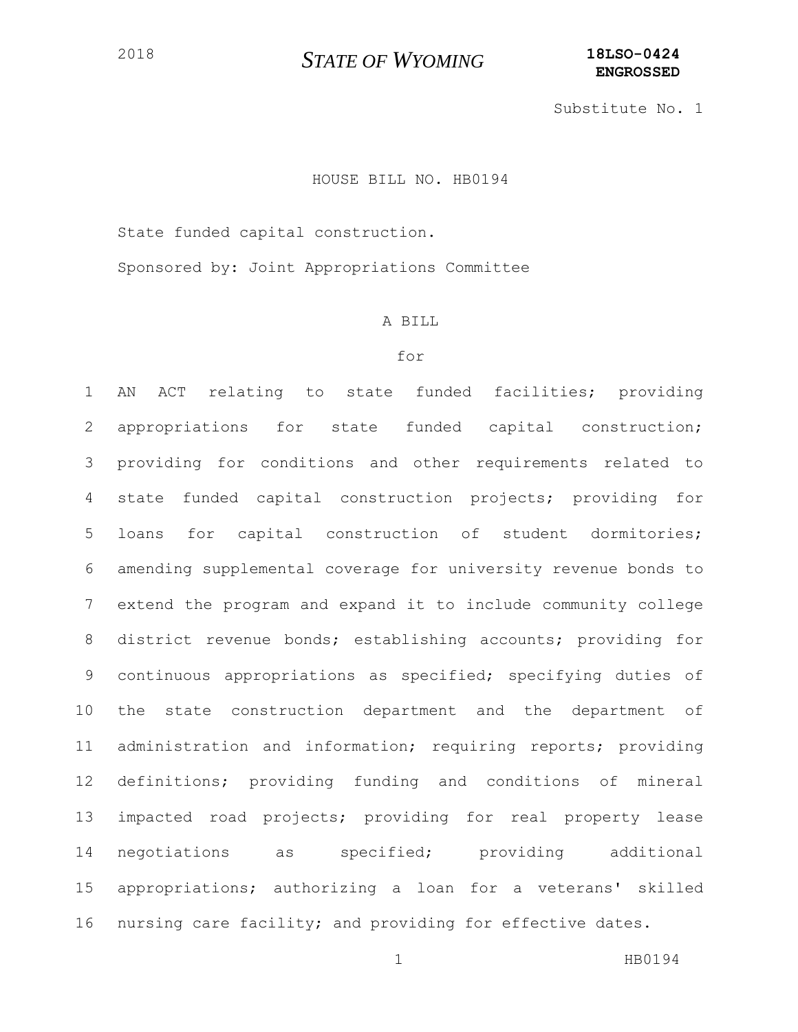Substitute No. 1

#### HOUSE BILL NO. HB0194

State funded capital construction.

Sponsored by: Joint Appropriations Committee

#### A BILL

#### for

 AN ACT relating to state funded facilities; providing appropriations for state funded capital construction; providing for conditions and other requirements related to state funded capital construction projects; providing for loans for capital construction of student dormitories; amending supplemental coverage for university revenue bonds to extend the program and expand it to include community college district revenue bonds; establishing accounts; providing for continuous appropriations as specified; specifying duties of the state construction department and the department of administration and information; requiring reports; providing definitions; providing funding and conditions of mineral impacted road projects; providing for real property lease negotiations as specified; providing additional appropriations; authorizing a loan for a veterans' skilled nursing care facility; and providing for effective dates.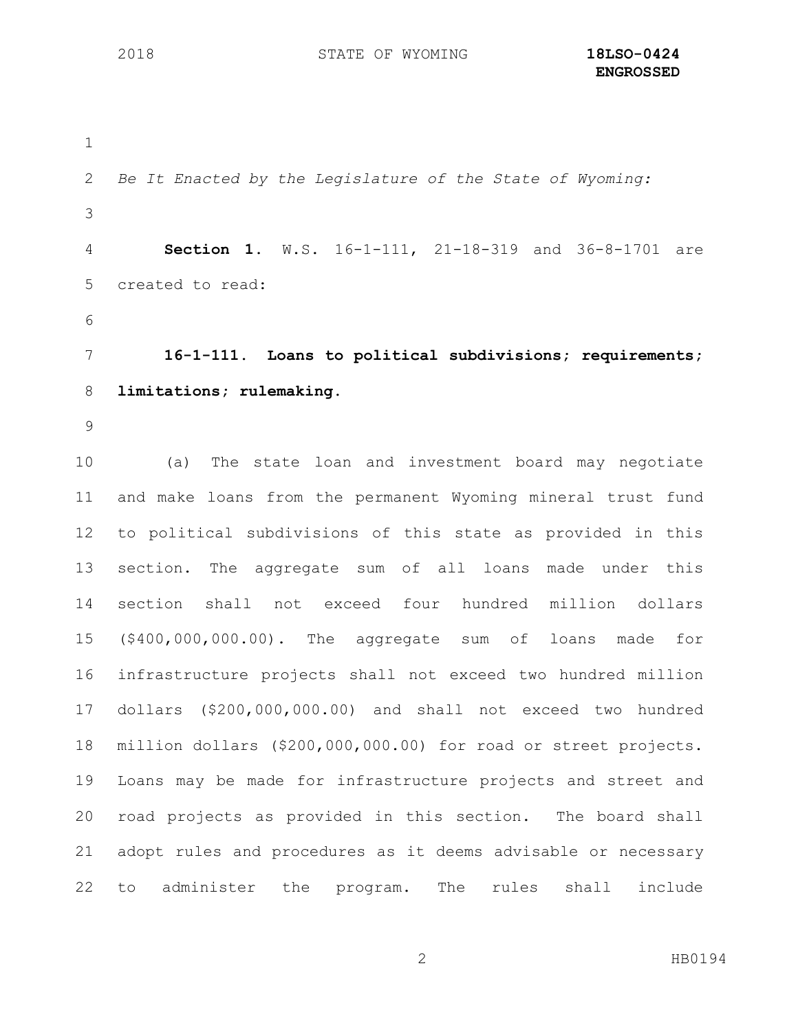```
1
2 Be It Enacted by the Legislature of the State of Wyoming:
3
4 Section 1. W.S. 16-1-111, 21-18-319 and 36-8-1701 are 
5 created to read:
6
7 16-1-111. Loans to political subdivisions; requirements; 
8 limitations; rulemaking.
9
10 (a) The state loan and investment board may negotiate 
11 and make loans from the permanent Wyoming mineral trust fund 
12 to political subdivisions of this state as provided in this 
13 section. The aggregate sum of all loans made under this 
14 section shall not exceed four hundred million dollars 
15 ($400,000,000.00). The aggregate sum of loans made for 
16 infrastructure projects shall not exceed two hundred million 
17 dollars ($200,000,000.00) and shall not exceed two hundred 
18 million dollars ($200,000,000.00) for road or street projects. 
19 Loans may be made for infrastructure projects and street and 
20 road projects as provided in this section. The board shall 
21 adopt rules and procedures as it deems advisable or necessary 
22 to administer the program. The rules shall include
```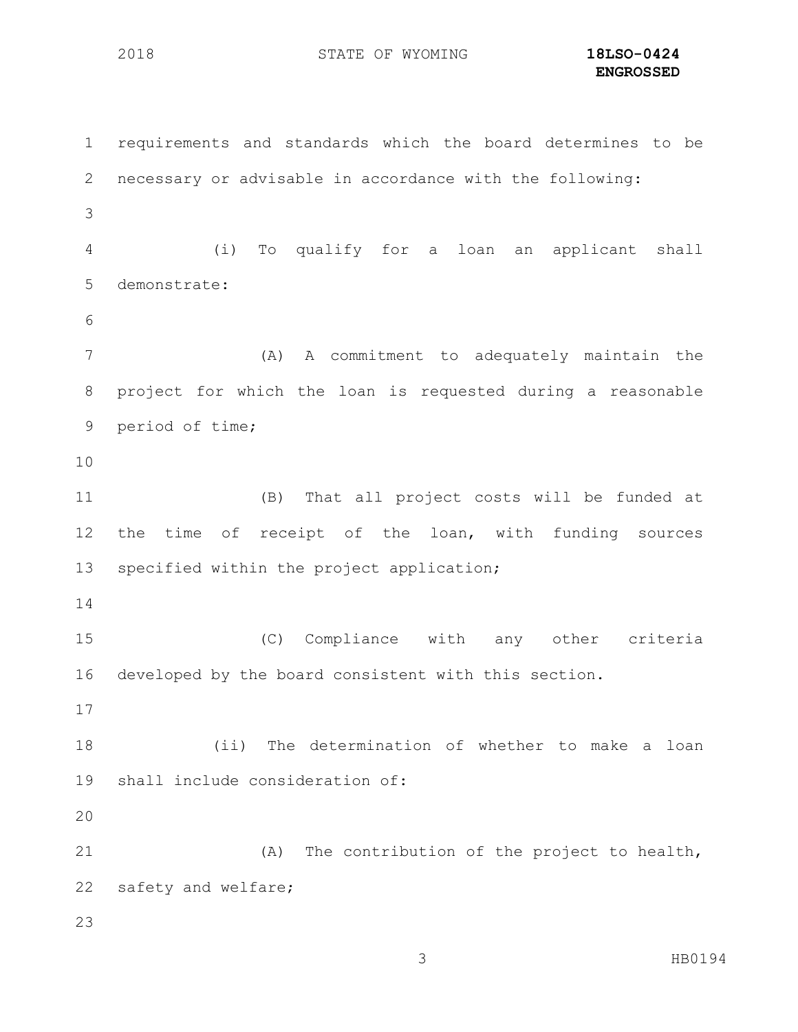**ENGROSSED**

 requirements and standards which the board determines to be necessary or advisable in accordance with the following: (i) To qualify for a loan an applicant shall demonstrate: (A) A commitment to adequately maintain the project for which the loan is requested during a reasonable period of time; (B) That all project costs will be funded at the time of receipt of the loan, with funding sources specified within the project application; (C) Compliance with any other criteria developed by the board consistent with this section. (ii) The determination of whether to make a loan shall include consideration of: (A) The contribution of the project to health, safety and welfare;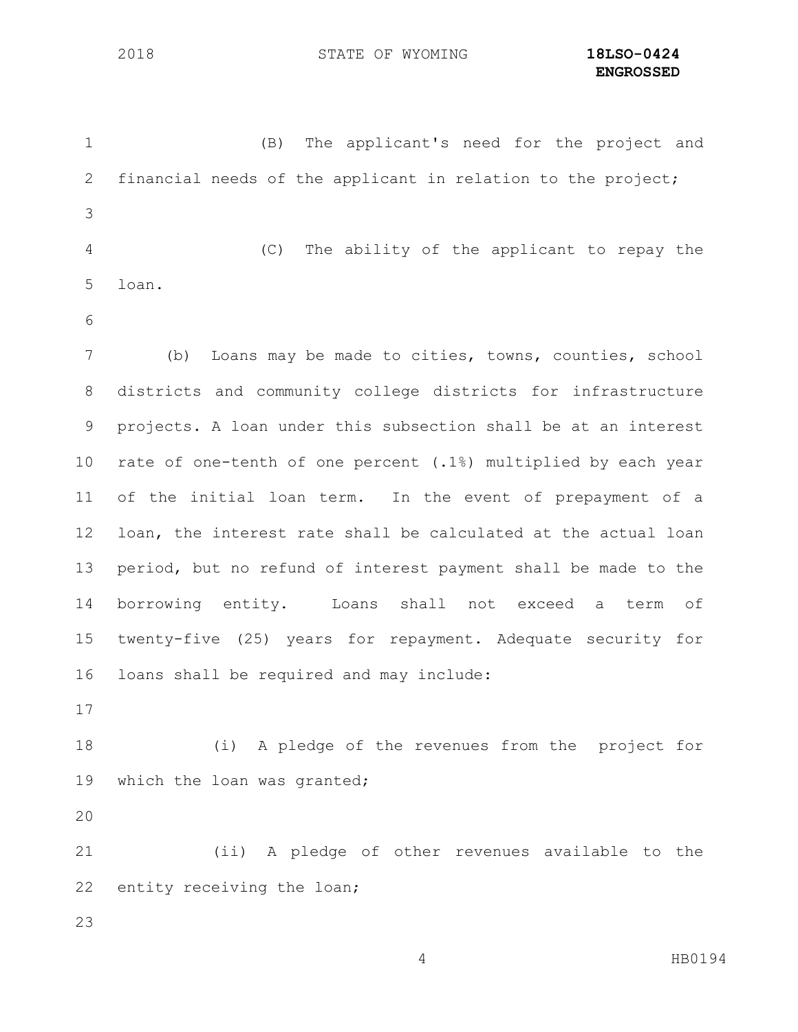| $\mathbf 1$    | The applicant's need for the project and<br>(B)                |
|----------------|----------------------------------------------------------------|
| $\mathbf{2}$   | financial needs of the applicant in relation to the project;   |
| 3              |                                                                |
| $\overline{4}$ | (C)<br>The ability of the applicant to repay the               |
| 5              | loan.                                                          |
| 6              |                                                                |
| $7\phantom{.}$ | Loans may be made to cities, towns, counties, school<br>(b)    |
| 8              | districts and community college districts for infrastructure   |
| 9              | projects. A loan under this subsection shall be at an interest |
| 10             | rate of one-tenth of one percent (.1%) multiplied by each year |
| 11             | of the initial loan term. In the event of prepayment of a      |
| 12             | loan, the interest rate shall be calculated at the actual loan |
| 13             | period, but no refund of interest payment shall be made to the |
| 14             | borrowing entity. Loans<br>shall not<br>exceed a<br>term<br>of |
| 15             | twenty-five (25) years for repayment. Adequate security for    |
| 16             | loans shall be required and may include:                       |
| 17             |                                                                |
| 18             | (i) A pledge of the revenues from the project for              |
| 19             | which the loan was granted;                                    |
| 20             |                                                                |
| 21             | (ii) A pledge of other revenues available to the               |
| 22             | entity receiving the loan;                                     |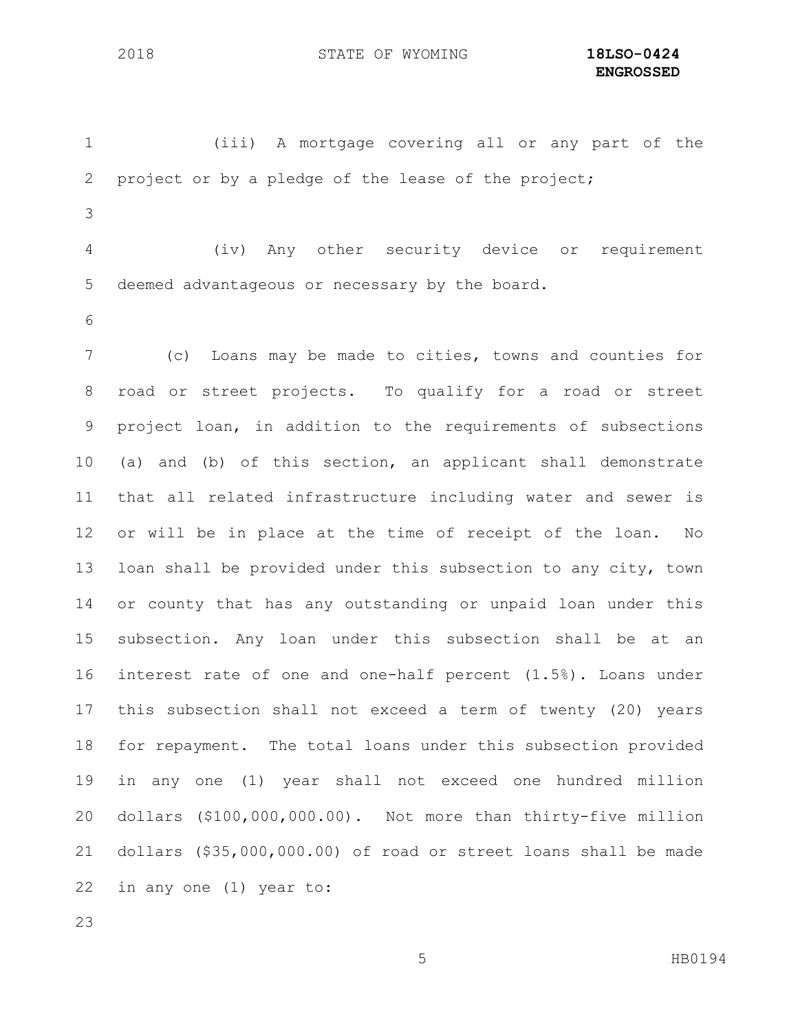(iii) A mortgage covering all or any part of the project or by a pledge of the lease of the project;

 (iv) Any other security device or requirement deemed advantageous or necessary by the board.

 (c) Loans may be made to cities, towns and counties for road or street projects. To qualify for a road or street project loan, in addition to the requirements of subsections (a) and (b) of this section, an applicant shall demonstrate that all related infrastructure including water and sewer is or will be in place at the time of receipt of the loan. No loan shall be provided under this subsection to any city, town or county that has any outstanding or unpaid loan under this subsection. Any loan under this subsection shall be at an interest rate of one and one-half percent (1.5%). Loans under this subsection shall not exceed a term of twenty (20) years for repayment. The total loans under this subsection provided in any one (1) year shall not exceed one hundred million dollars (\$100,000,000.00). Not more than thirty-five million dollars (\$35,000,000.00) of road or street loans shall be made in any one (1) year to: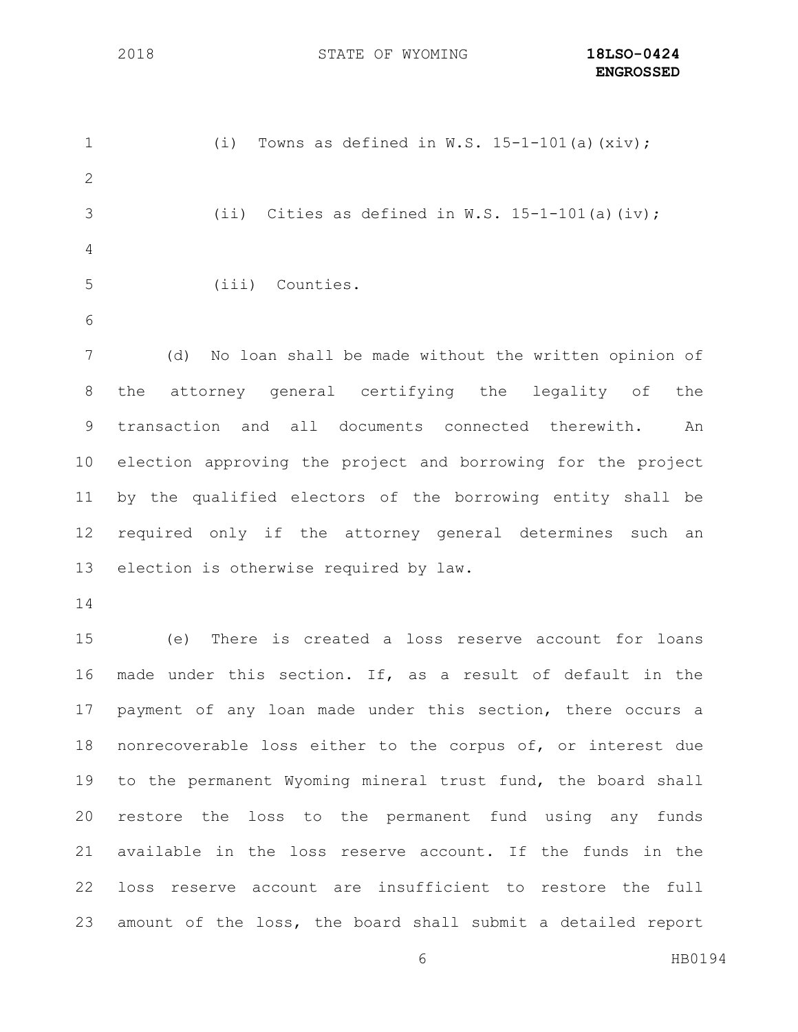$(i)$  Towns as defined in W.S. 15-1-101(a)(xiv); 3 (ii) Cities as defined in  $W.S. 15-1-101(a)(iv);$  (iii) Counties. (d) No loan shall be made without the written opinion of the attorney general certifying the legality of the transaction and all documents connected therewith. An election approving the project and borrowing for the project by the qualified electors of the borrowing entity shall be required only if the attorney general determines such an election is otherwise required by law. (e) There is created a loss reserve account for loans made under this section. If, as a result of default in the payment of any loan made under this section, there occurs a nonrecoverable loss either to the corpus of, or interest due to the permanent Wyoming mineral trust fund, the board shall restore the loss to the permanent fund using any funds available in the loss reserve account. If the funds in the loss reserve account are insufficient to restore the full amount of the loss, the board shall submit a detailed report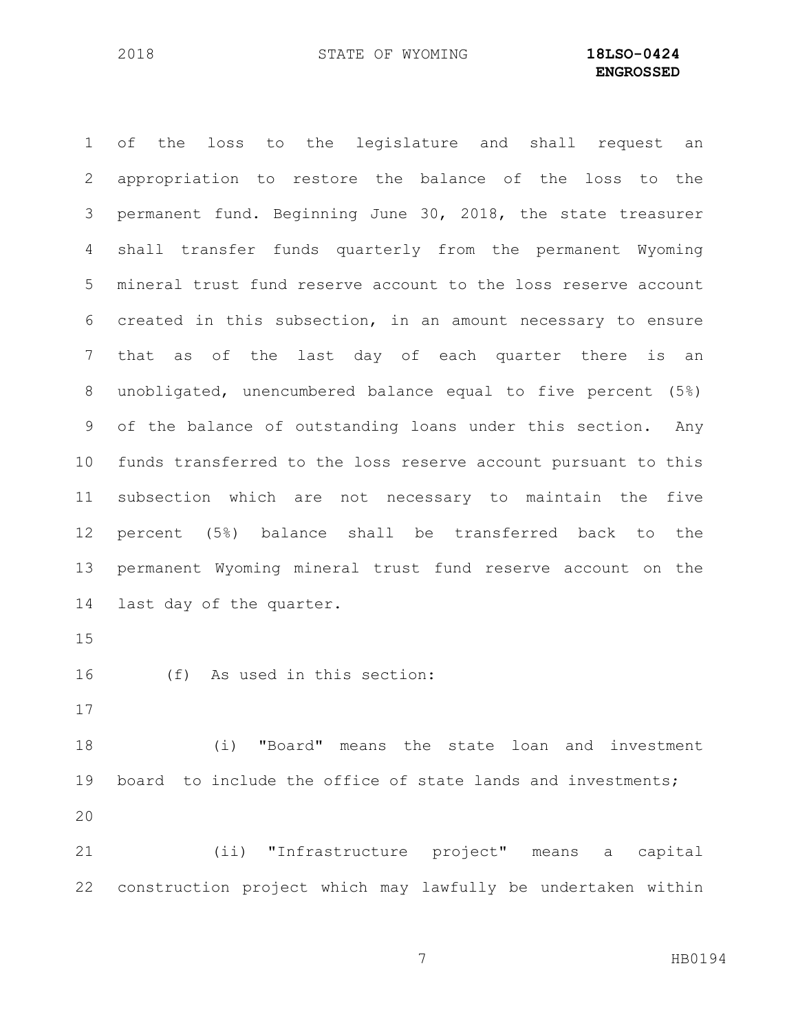of the loss to the legislature and shall request an appropriation to restore the balance of the loss to the permanent fund. Beginning June 30, 2018, the state treasurer shall transfer funds quarterly from the permanent Wyoming mineral trust fund reserve account to the loss reserve account created in this subsection, in an amount necessary to ensure that as of the last day of each quarter there is an unobligated, unencumbered balance equal to five percent (5%) of the balance of outstanding loans under this section. Any funds transferred to the loss reserve account pursuant to this subsection which are not necessary to maintain the five percent (5%) balance shall be transferred back to the permanent Wyoming mineral trust fund reserve account on the last day of the quarter.

(f) As used in this section:

 (i) "Board" means the state loan and investment board to include the office of state lands and investments; 

 (ii) "Infrastructure project" means a capital construction project which may lawfully be undertaken within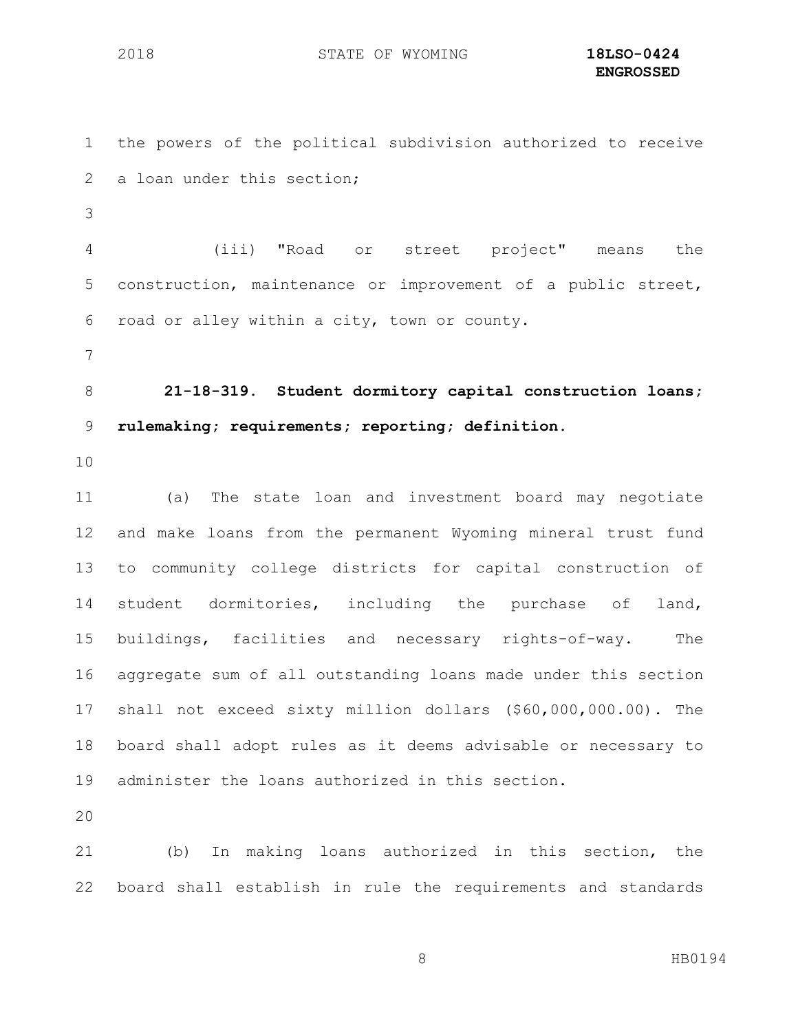the powers of the political subdivision authorized to receive 2 a loan under this section; (iii) "Road or street project" means the construction, maintenance or improvement of a public street, road or alley within a city, town or county. **21-18-319. Student dormitory capital construction loans; rulemaking; requirements; reporting; definition.** (a) The state loan and investment board may negotiate and make loans from the permanent Wyoming mineral trust fund to community college districts for capital construction of student dormitories, including the purchase of land, buildings, facilities and necessary rights-of-way. The aggregate sum of all outstanding loans made under this section shall not exceed sixty million dollars (\$60,000,000.00). The board shall adopt rules as it deems advisable or necessary to administer the loans authorized in this section. (b) In making loans authorized in this section, the

board shall establish in rule the requirements and standards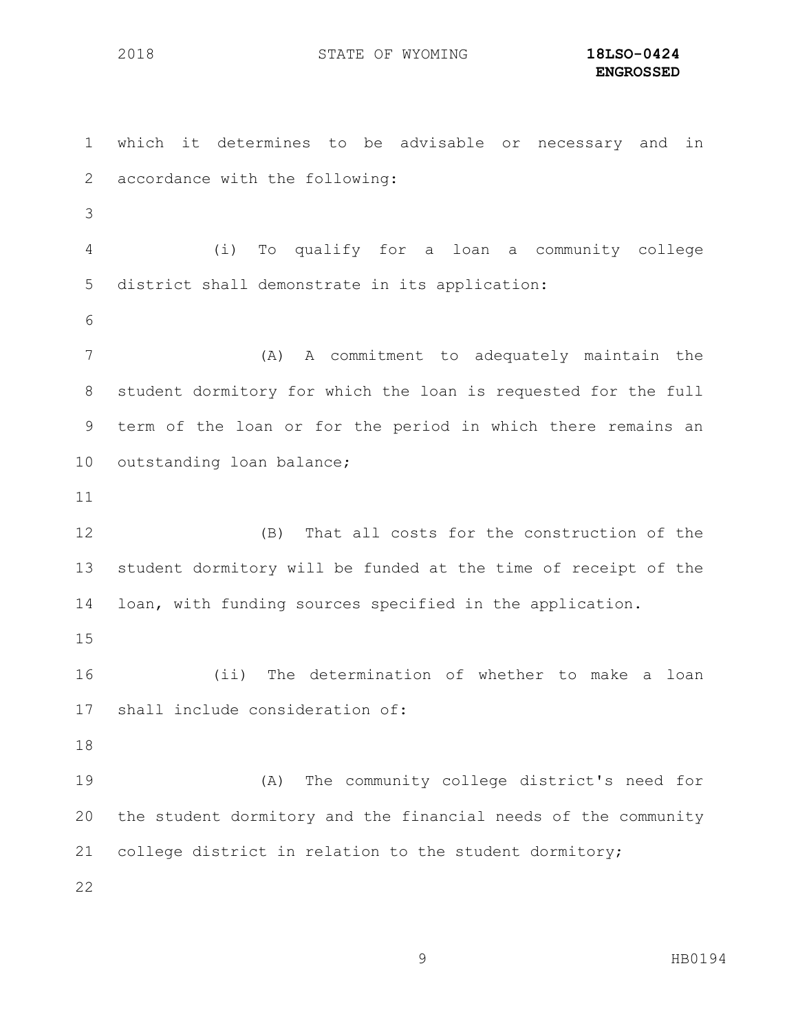which it determines to be advisable or necessary and in accordance with the following: (i) To qualify for a loan a community college district shall demonstrate in its application: (A) A commitment to adequately maintain the student dormitory for which the loan is requested for the full term of the loan or for the period in which there remains an outstanding loan balance; (B) That all costs for the construction of the student dormitory will be funded at the time of receipt of the loan, with funding sources specified in the application. (ii) The determination of whether to make a loan shall include consideration of: (A) The community college district's need for the student dormitory and the financial needs of the community college district in relation to the student dormitory;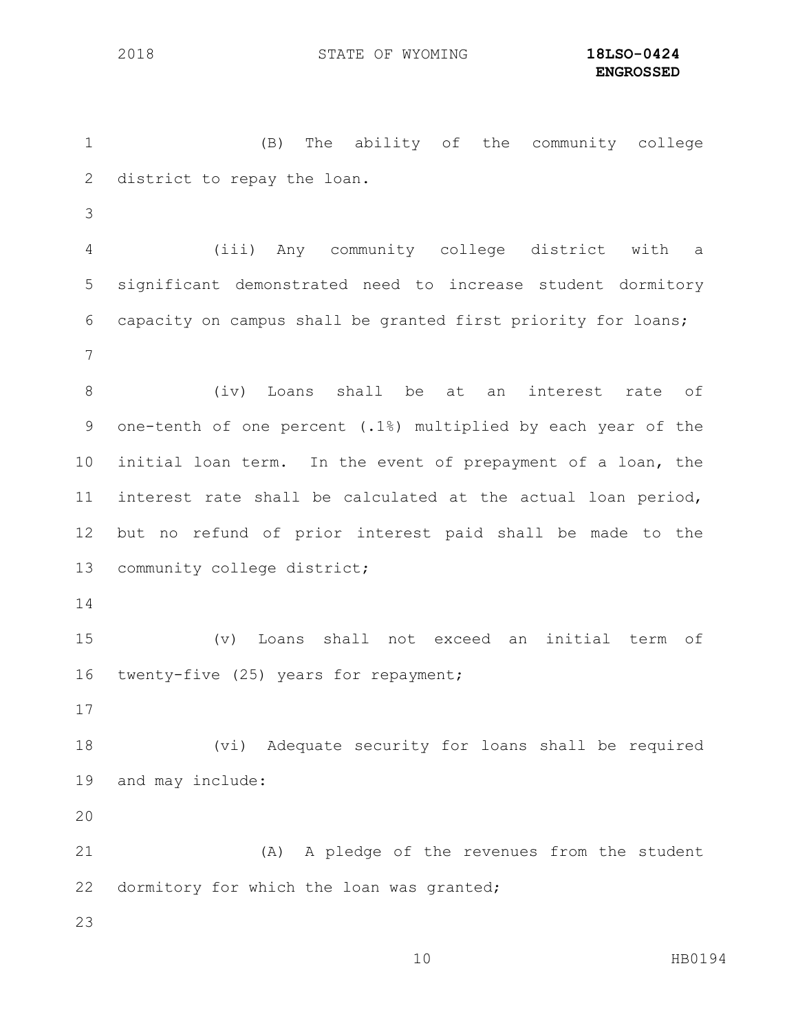(B) The ability of the community college district to repay the loan. (iii) Any community college district with a significant demonstrated need to increase student dormitory capacity on campus shall be granted first priority for loans; (iv) Loans shall be at an interest rate of one-tenth of one percent (.1%) multiplied by each year of the initial loan term. In the event of prepayment of a loan, the interest rate shall be calculated at the actual loan period, but no refund of prior interest paid shall be made to the 13 community college district; (v) Loans shall not exceed an initial term of twenty-five (25) years for repayment; (vi) Adequate security for loans shall be required and may include: (A) A pledge of the revenues from the student 22 dormitory for which the loan was granted;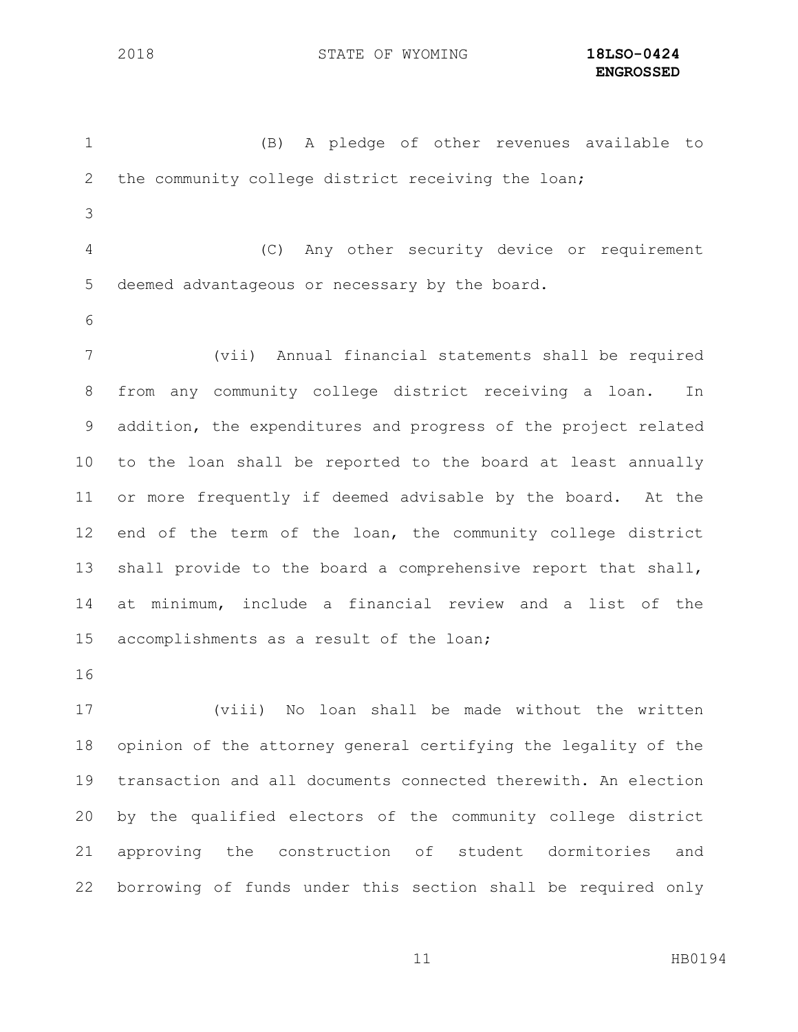(B) A pledge of other revenues available to the community college district receiving the loan; (C) Any other security device or requirement deemed advantageous or necessary by the board. (vii) Annual financial statements shall be required from any community college district receiving a loan. In addition, the expenditures and progress of the project related to the loan shall be reported to the board at least annually or more frequently if deemed advisable by the board. At the end of the term of the loan, the community college district shall provide to the board a comprehensive report that shall, at minimum, include a financial review and a list of the accomplishments as a result of the loan; 

 (viii) No loan shall be made without the written opinion of the attorney general certifying the legality of the transaction and all documents connected therewith. An election by the qualified electors of the community college district approving the construction of student dormitories and borrowing of funds under this section shall be required only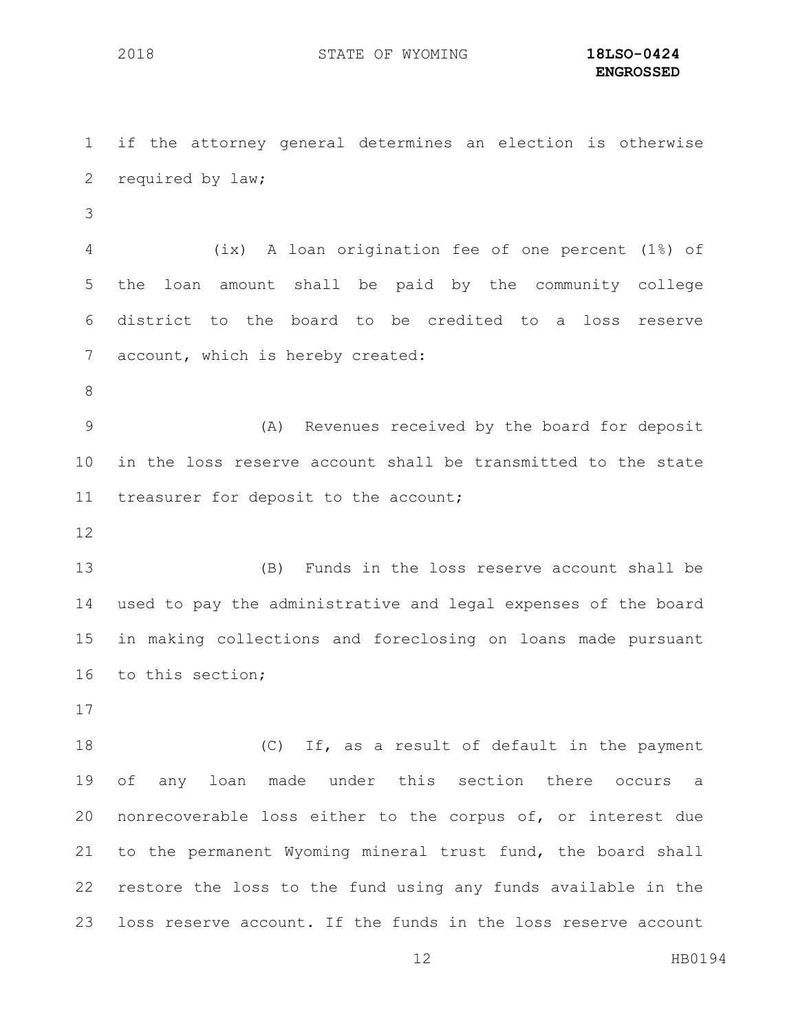if the attorney general determines an election is otherwise required by law; (ix) A loan origination fee of one percent (1%) of the loan amount shall be paid by the community college district to the board to be credited to a loss reserve account, which is hereby created: (A) Revenues received by the board for deposit in the loss reserve account shall be transmitted to the state treasurer for deposit to the account; (B) Funds in the loss reserve account shall be used to pay the administrative and legal expenses of the board in making collections and foreclosing on loans made pursuant to this section; (C) If, as a result of default in the payment of any loan made under this section there occurs a nonrecoverable loss either to the corpus of, or interest due to the permanent Wyoming mineral trust fund, the board shall restore the loss to the fund using any funds available in the

loss reserve account. If the funds in the loss reserve account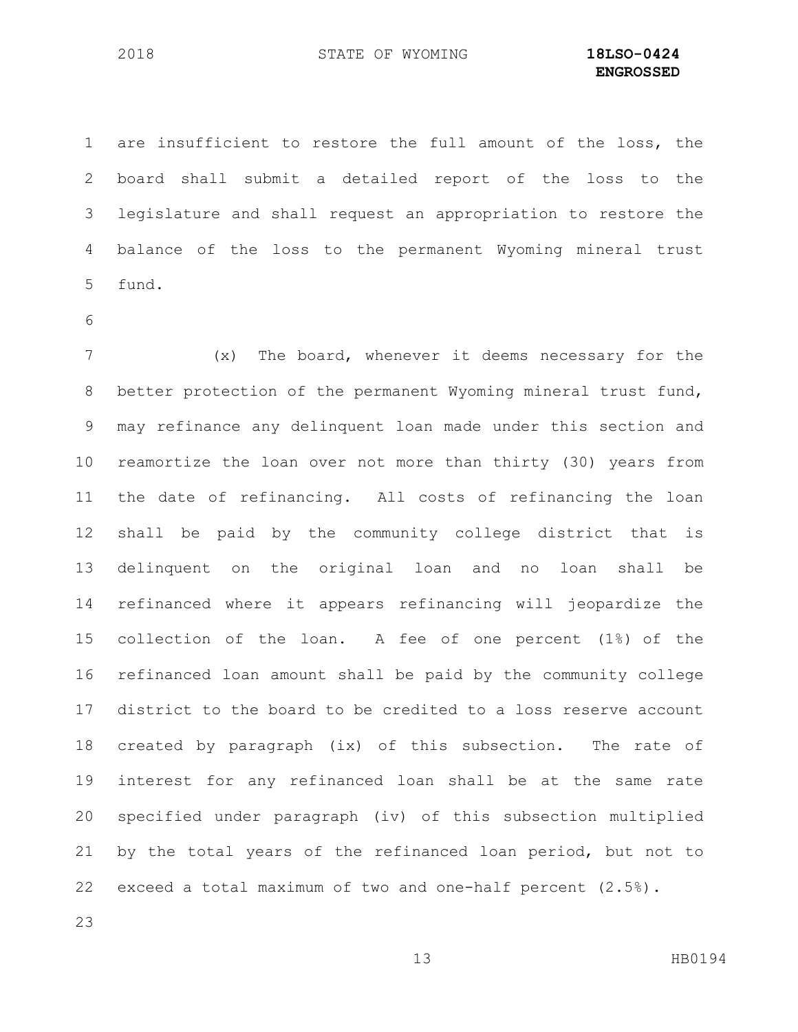are insufficient to restore the full amount of the loss, the board shall submit a detailed report of the loss to the legislature and shall request an appropriation to restore the balance of the loss to the permanent Wyoming mineral trust fund.

 (x) The board, whenever it deems necessary for the better protection of the permanent Wyoming mineral trust fund, may refinance any delinquent loan made under this section and reamortize the loan over not more than thirty (30) years from the date of refinancing. All costs of refinancing the loan shall be paid by the community college district that is delinquent on the original loan and no loan shall be refinanced where it appears refinancing will jeopardize the collection of the loan. A fee of one percent (1%) of the refinanced loan amount shall be paid by the community college district to the board to be credited to a loss reserve account created by paragraph (ix) of this subsection. The rate of interest for any refinanced loan shall be at the same rate specified under paragraph (iv) of this subsection multiplied by the total years of the refinanced loan period, but not to exceed a total maximum of two and one-half percent (2.5%).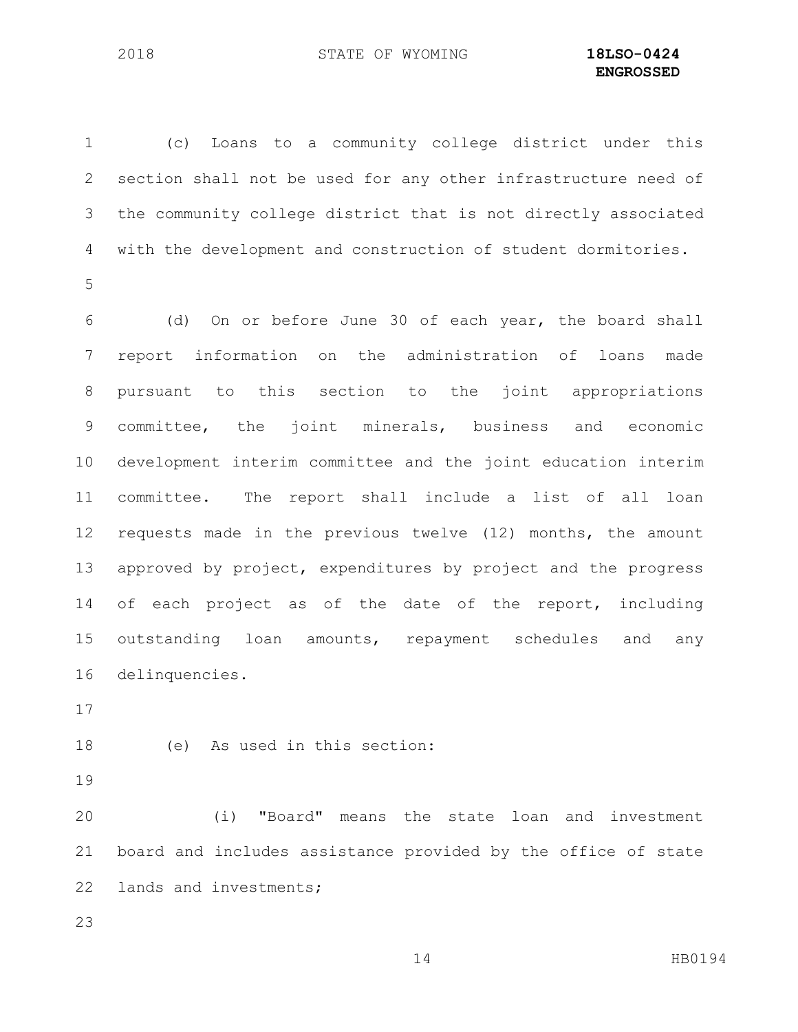(c) Loans to a community college district under this section shall not be used for any other infrastructure need of the community college district that is not directly associated with the development and construction of student dormitories. 

 (d) On or before June 30 of each year, the board shall report information on the administration of loans made pursuant to this section to the joint appropriations committee, the joint minerals, business and economic development interim committee and the joint education interim committee. The report shall include a list of all loan requests made in the previous twelve (12) months, the amount approved by project, expenditures by project and the progress of each project as of the date of the report, including outstanding loan amounts, repayment schedules and any delinquencies.

(e) As used in this section:

 (i) "Board" means the state loan and investment board and includes assistance provided by the office of state 22 lands and investments;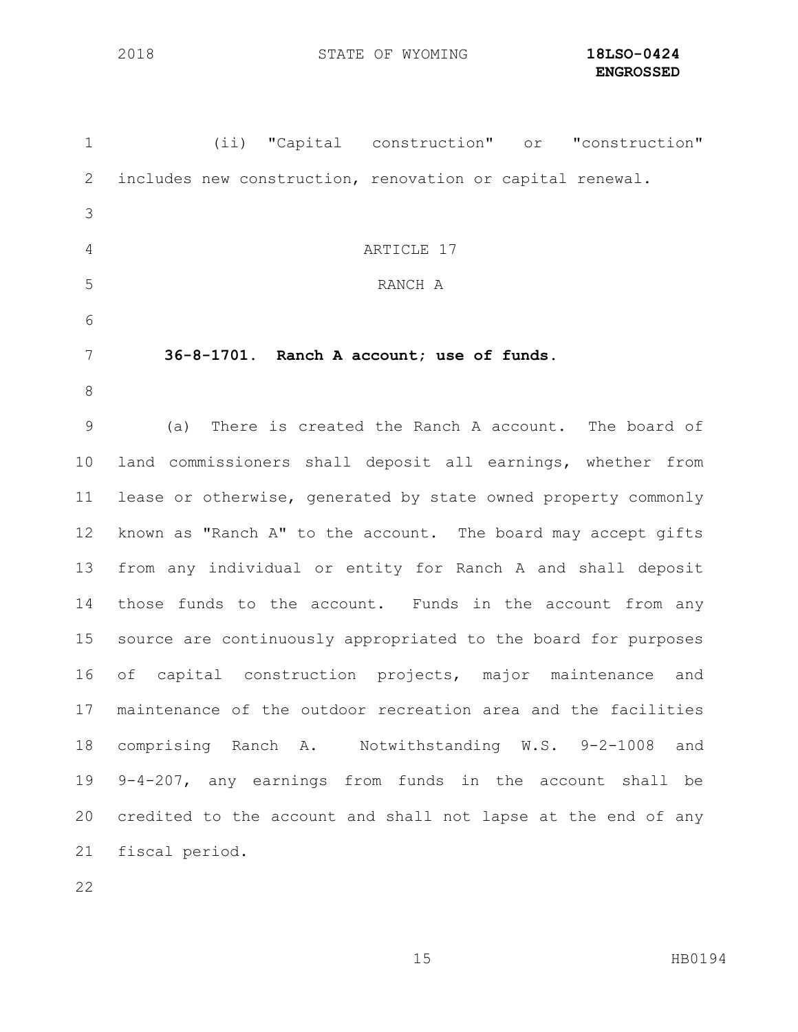| $\mathbf 1$     | (ii) "Capital construction" or "construction"                  |
|-----------------|----------------------------------------------------------------|
| 2               | includes new construction, renovation or capital renewal.      |
| 3               |                                                                |
| $\overline{4}$  | ARTICLE 17                                                     |
| 5               | RANCH A                                                        |
| 6               |                                                                |
| 7               | 36-8-1701. Ranch A account; use of funds.                      |
| 8               |                                                                |
| $\mathcal{G}$   | There is created the Ranch A account. The board of<br>(a)      |
| 10 <sub>o</sub> | land commissioners shall deposit all earnings, whether from    |
| 11              | lease or otherwise, generated by state owned property commonly |
| 12              | known as "Ranch A" to the account. The board may accept gifts  |
| 13              | from any individual or entity for Ranch A and shall deposit    |
| 14              | those funds to the account. Funds in the account from any      |
| 15              | source are continuously appropriated to the board for purposes |
| 16              | of capital construction projects, major maintenance and        |
| 17              | maintenance of the outdoor recreation area and the facilities  |
| 18              | comprising Ranch A. Notwithstanding W.S. 9-2-1008 and          |
| 19              | $9-4-207$ , any earnings from funds in the account shall be    |
| 20              | credited to the account and shall not lapse at the end of any  |
| 21              | fiscal period.                                                 |
|                 |                                                                |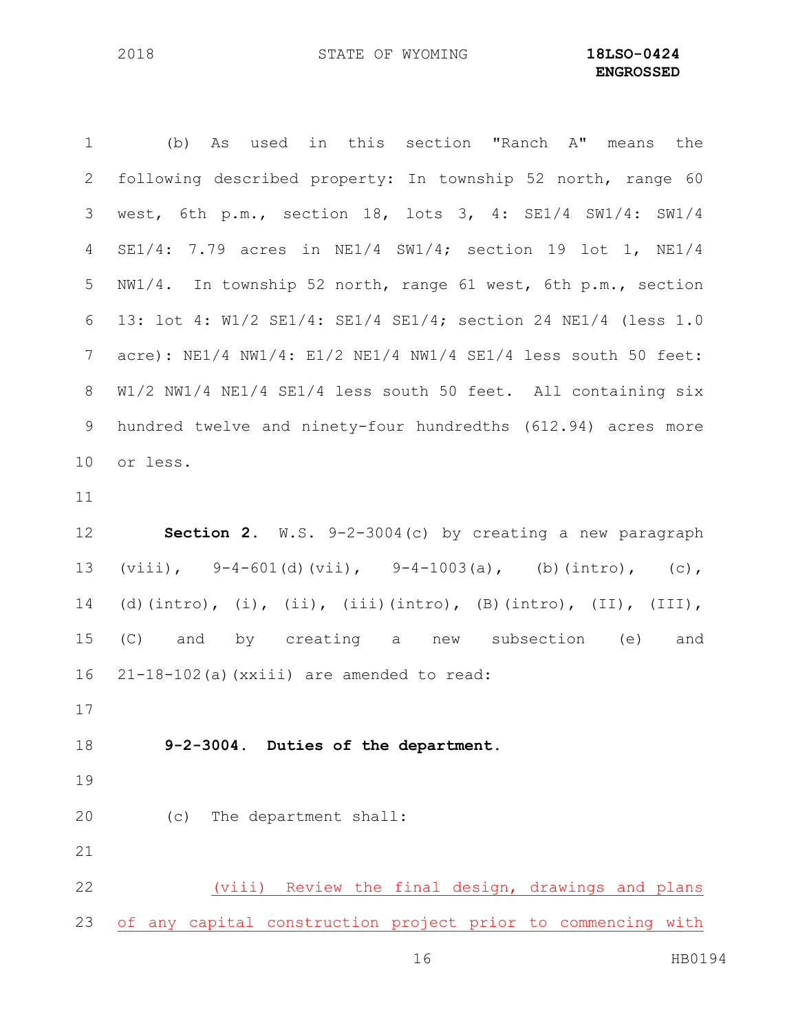(b) As used in this section "Ranch A" means the following described property: In township 52 north, range 60 west, 6th p.m., section 18, lots 3, 4: SE1/4 SW1/4: SW1/4 SE1/4: 7.79 acres in NE1/4 SW1/4; section 19 lot 1, NE1/4 NW1/4. In township 52 north, range 61 west, 6th p.m., section 13: lot 4: W1/2 SE1/4: SE1/4 SE1/4; section 24 NE1/4 (less 1.0 acre): NE1/4 NW1/4: E1/2 NE1/4 NW1/4 SE1/4 less south 50 feet: W1/2 NW1/4 NE1/4 SE1/4 less south 50 feet. All containing six hundred twelve and ninety-four hundredths (612.94) acres more or less.

 **Section 2.** W.S. 9-2-3004(c) by creating a new paragraph (viii), 9-4-601(d)(vii), 9-4-1003(a), (b)(intro), (c), (d)(intro), (i), (ii), (iii)(intro), (B)(intro), (II), (III), (C) and by creating a new subsection (e) and 21-18-102(a)(xxiii) are amended to read:

**9-2-3004. Duties of the department.**

- 
- (c) The department shall:
- 

 (viii) Review the final design, drawings and plans of any capital construction project prior to commencing with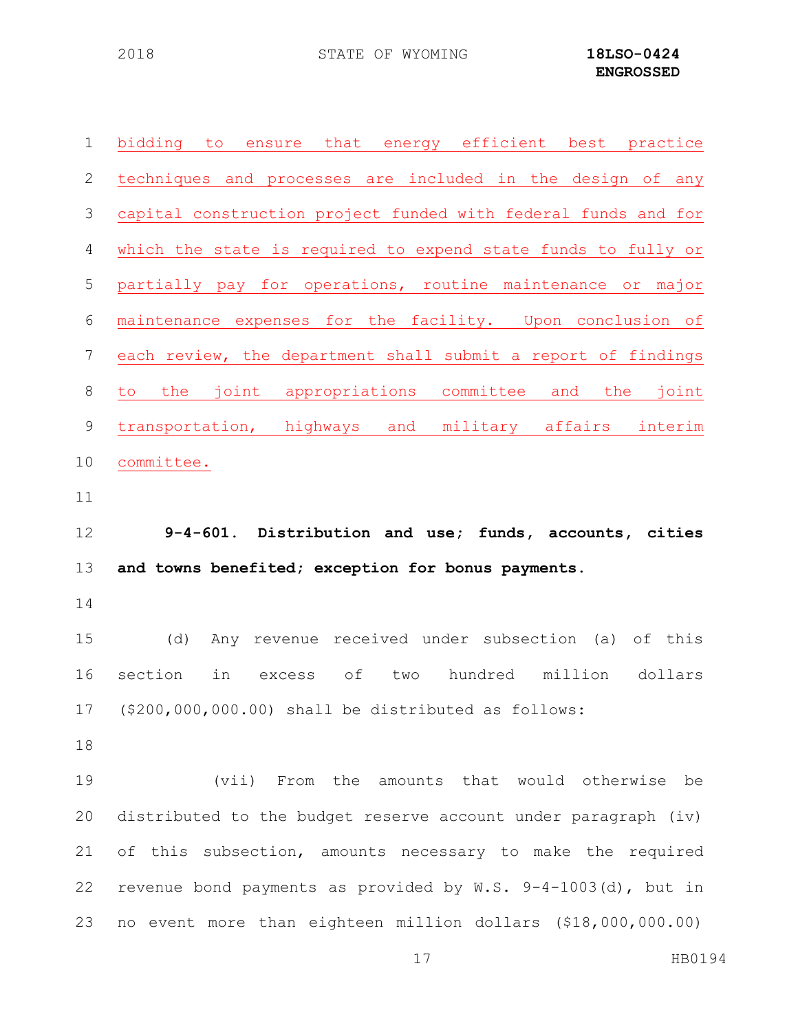| $\mathbf 1$ | bidding to ensure that energy efficient best practice            |
|-------------|------------------------------------------------------------------|
| 2           | techniques and processes are included in the design of any       |
| 3           | capital construction project funded with federal funds and for   |
| 4           | which the state is required to expend state funds to fully or    |
| 5           | partially pay for operations, routine maintenance or major       |
| 6           | maintenance expenses for the facility. Upon conclusion of        |
| 7           | each review, the department shall submit a report of findings    |
| 8           | to the joint appropriations committee<br>and the joint           |
| 9           | transportation, highways and military affairs interim            |
| 10          | committee.                                                       |
| 11          |                                                                  |
|             |                                                                  |
| 12          | 9-4-601. Distribution and use; funds, accounts, cities           |
| 13          | and towns benefited; exception for bonus payments.               |
|             |                                                                  |
| 14<br>15    | Any revenue received under subsection (a)<br>(d)<br>of this      |
| 16          | section<br>hundred million<br>in<br>excess of<br>dollars<br>two  |
|             | 17 (\$200,000,000.00) shall be distributed as follows:           |
| 18          |                                                                  |
| 19          | (vii) From the amounts that would otherwise be                   |
| 20          | distributed to the budget reserve account under paragraph (iv)   |
| 21          | of this subsection, amounts necessary to make the required       |
| 22          | revenue bond payments as provided by $W.S. 9-4-1003(d)$ , but in |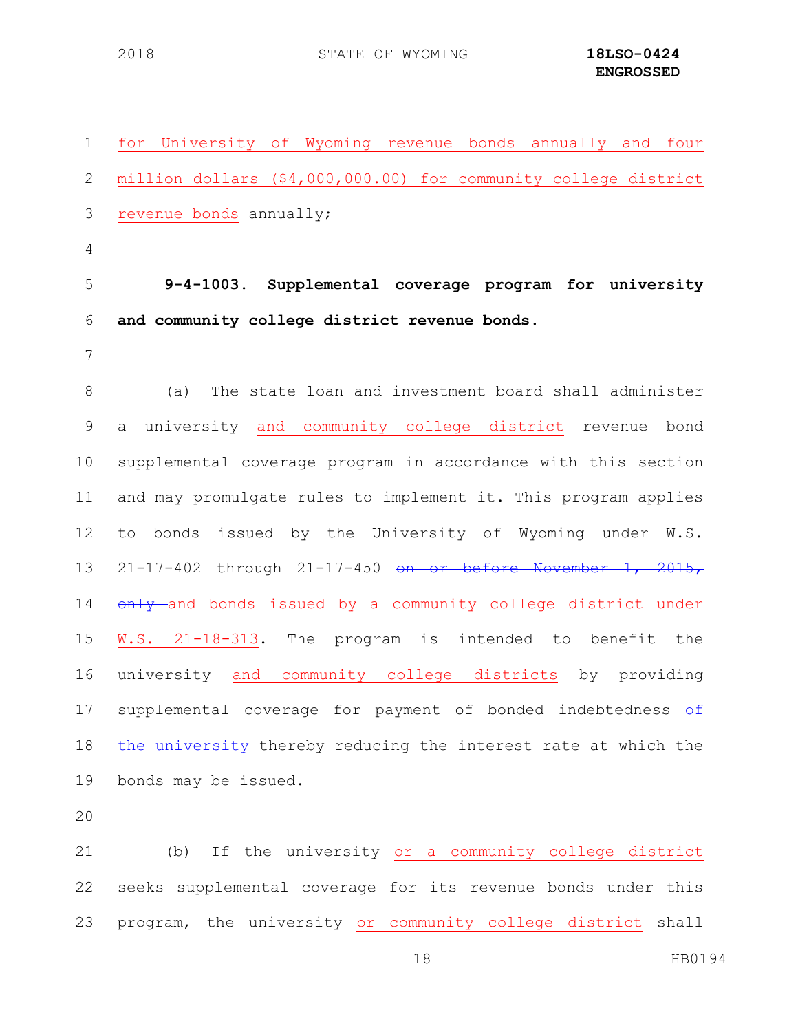| $\mathbf 1$    | for University of Wyoming revenue bonds annually and four         |
|----------------|-------------------------------------------------------------------|
| 2              | million dollars (\$4,000,000.00) for community college district   |
| 3              | revenue bonds annually;                                           |
| $\overline{4}$ |                                                                   |
| 5              | 9-4-1003. Supplemental coverage program for university            |
| 6              | and community college district revenue bonds.                     |
| 7              |                                                                   |
| 8              | The state loan and investment board shall administer<br>(a)       |
| $\mathsf 9$    | a university and community college district revenue bond          |
| 10             | supplemental coverage program in accordance with this section     |
| 11             | and may promulgate rules to implement it. This program applies    |
| 12             | to bonds issued by the University of Wyoming under W.S.           |
| 13             | $21-17-402$ through $21-17-450$ on or before November 1, $2015$ , |
| 14             | only and bonds issued by a community college district under       |
| 15             | W.S. 21-18-313. The program is intended to benefit the            |
| 16             | university and community college districts by providing           |
| 17             | supplemental coverage for payment of bonded indebtedness of       |
| 18             | the university thereby reducing the interest rate at which the    |
| 19             | bonds may be issued.                                              |
| 20             |                                                                   |
| 21             | (b) If the university or a community college district             |
| 22             | seeks supplemental coverage for its revenue bonds under this      |
| 23             | program, the university or community college district shall       |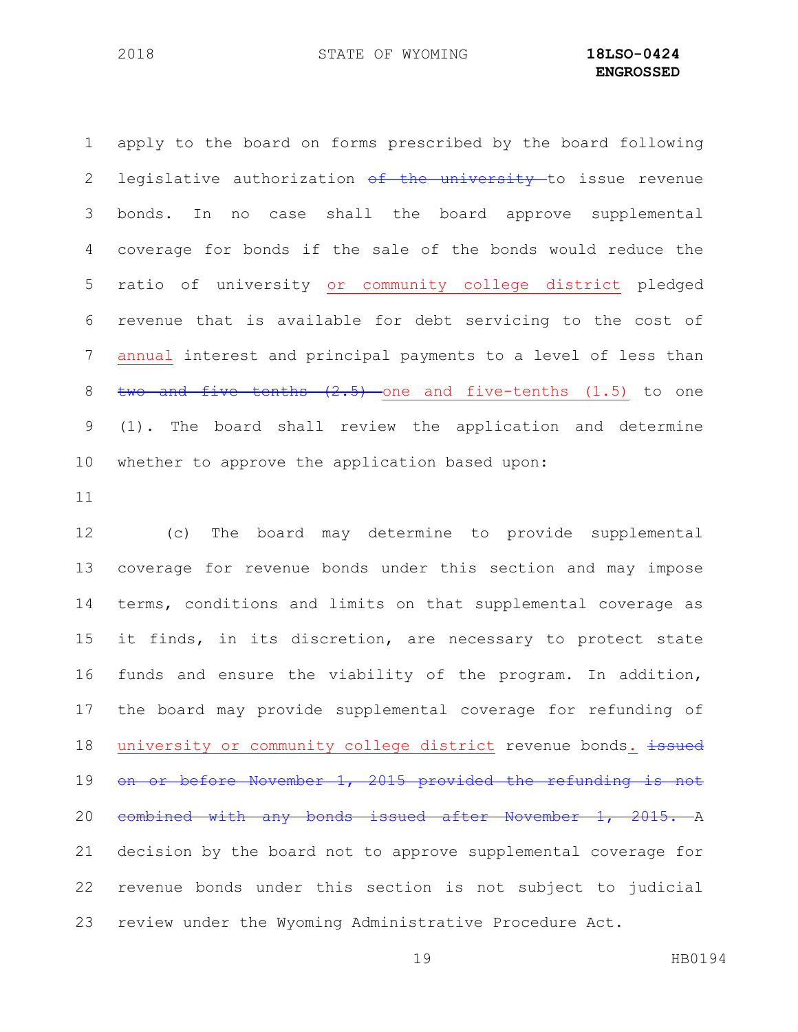apply to the board on forms prescribed by the board following 2 legislative authorization of the university to issue revenue bonds. In no case shall the board approve supplemental coverage for bonds if the sale of the bonds would reduce the ratio of university or community college district pledged revenue that is available for debt servicing to the cost of annual interest and principal payments to a level of less than  $two$  and five tenths  $(2.5)$  one and five-tenths  $(1.5)$  to one (1). The board shall review the application and determine whether to approve the application based upon:

 (c) The board may determine to provide supplemental coverage for revenue bonds under this section and may impose terms, conditions and limits on that supplemental coverage as it finds, in its discretion, are necessary to protect state funds and ensure the viability of the program. In addition, the board may provide supplemental coverage for refunding of 18 university or community college district revenue bonds. issued 19 on or before November 1, 2015 provided the refunding is not combined with any bonds issued after November 1, 2015. A decision by the board not to approve supplemental coverage for revenue bonds under this section is not subject to judicial review under the Wyoming Administrative Procedure Act.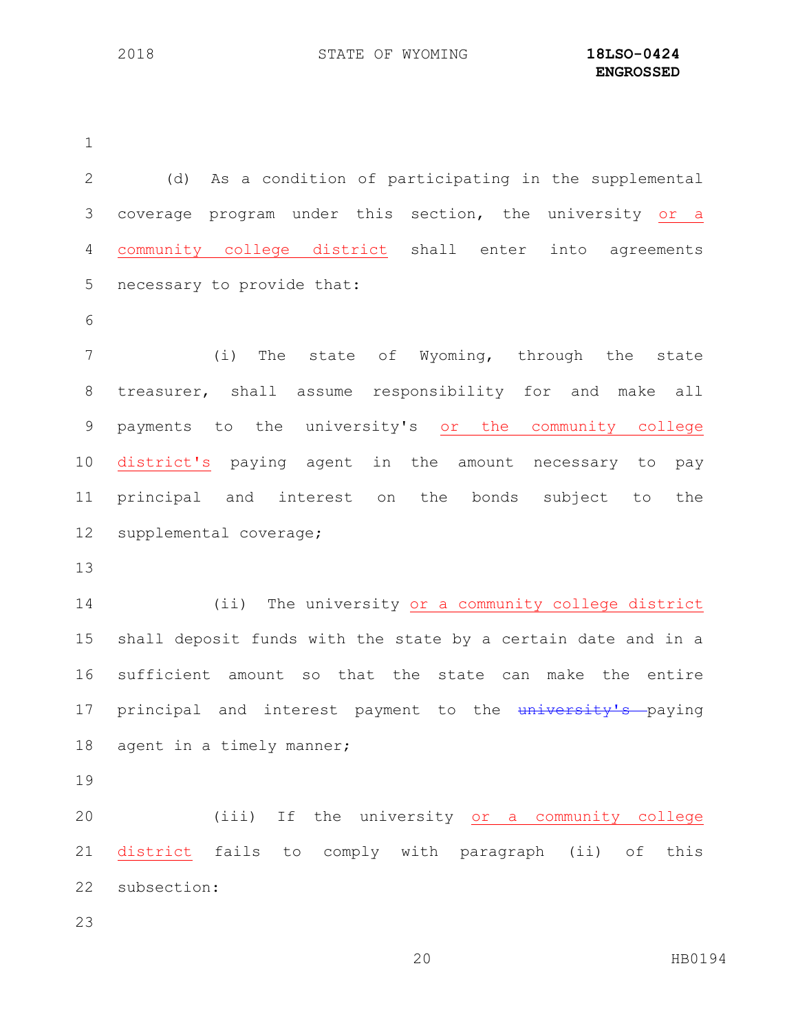(d) As a condition of participating in the supplemental coverage program under this section, the university or a community college district shall enter into agreements necessary to provide that: (i) The state of Wyoming, through the state treasurer, shall assume responsibility for and make all payments to the university's or the community college district's paying agent in the amount necessary to pay principal and interest on the bonds subject to the supplemental coverage; (ii) The university or a community college district shall deposit funds with the state by a certain date and in a sufficient amount so that the state can make the entire 17 principal and interest payment to the university's paying 18 agent in a timely manner; (iii) If the university or a community college district fails to comply with paragraph (ii) of this subsection: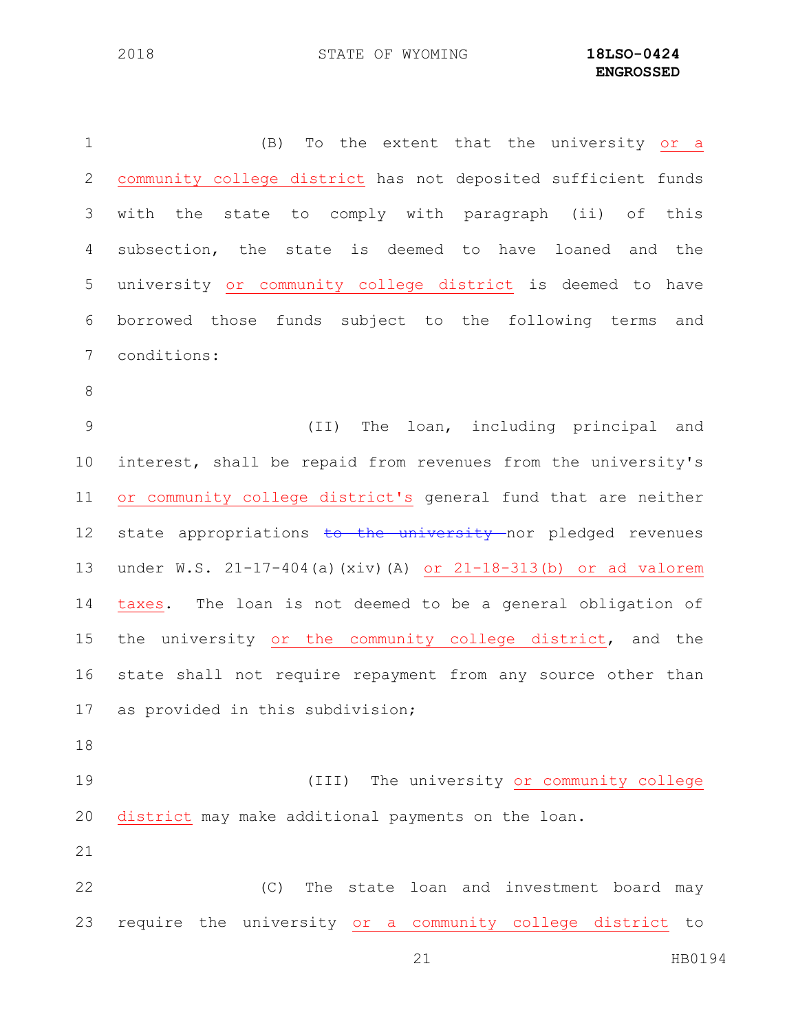(B) To the extent that the university or a community college district has not deposited sufficient funds with the state to comply with paragraph (ii) of this subsection, the state is deemed to have loaned and the university or community college district is deemed to have borrowed those funds subject to the following terms and conditions: (II) The loan, including principal and interest, shall be repaid from revenues from the university's or community college district's general fund that are neither 12 state appropriations to the university nor pledged revenues under W.S. 21-17-404(a)(xiv)(A) or 21-18-313(b) or ad valorem taxes. The loan is not deemed to be a general obligation of 15 the university or the community college district, and the state shall not require repayment from any source other than as provided in this subdivision; (III) The university or community college district may make additional payments on the loan. (C) The state loan and investment board may require the university or a community college district to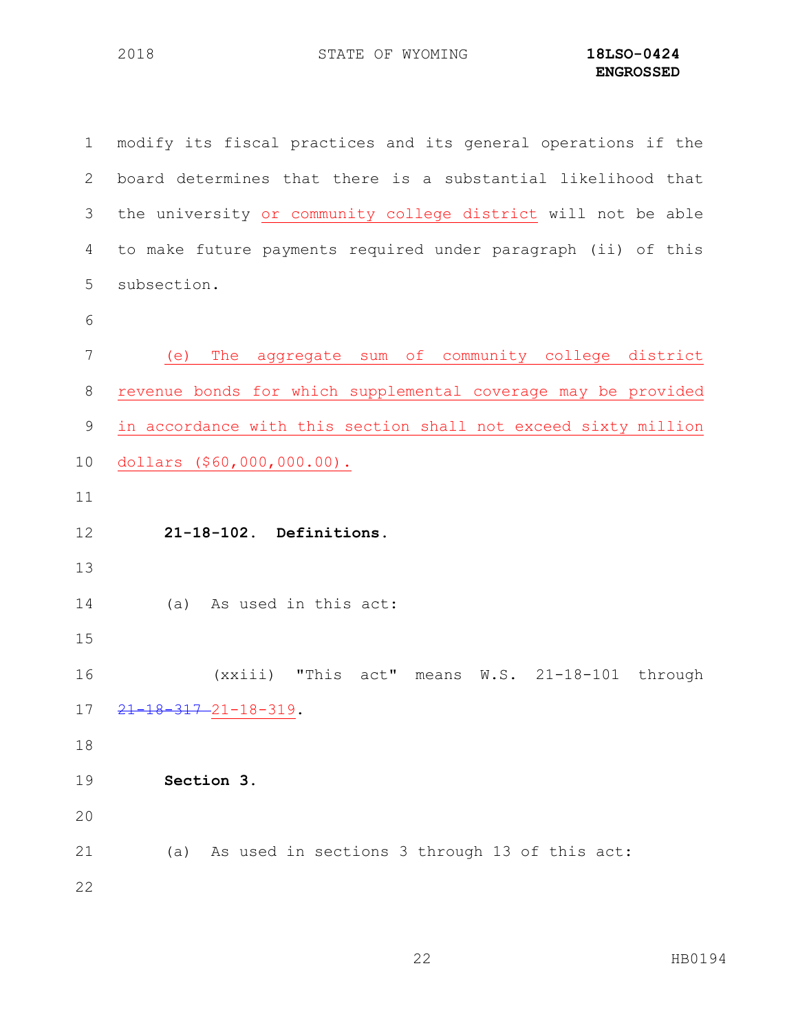| $\mathbf{1}$    | modify its fiscal practices and its general operations if the  |
|-----------------|----------------------------------------------------------------|
| 2               | board determines that there is a substantial likelihood that   |
| 3               | the university or community college district will not be able  |
| 4               | to make future payments required under paragraph (ii) of this  |
| 5               | subsection.                                                    |
| 6               |                                                                |
| 7               | The aggregate sum of community college district<br>(e)         |
| $8\,$           | revenue bonds for which supplemental coverage may be provided  |
| $\mathsf 9$     | in accordance with this section shall not exceed sixty million |
| 10              | dollars (\$60,000,000.00).                                     |
| 11              |                                                                |
| 12              | 21-18-102. Definitions.                                        |
| 13              |                                                                |
| 14              | (a) As used in this act:                                       |
| 15              |                                                                |
| 16              | $(xxiii)$ "This act" means W.S. 21-18-101 through              |
| 17 <sub>2</sub> | 21<br>$-18-317-21-18-319$ .                                    |
| 18              |                                                                |
| 19              | Section 3.                                                     |
| 20              |                                                                |
| 21              | (a) As used in sections 3 through 13 of this act:              |
| 22              |                                                                |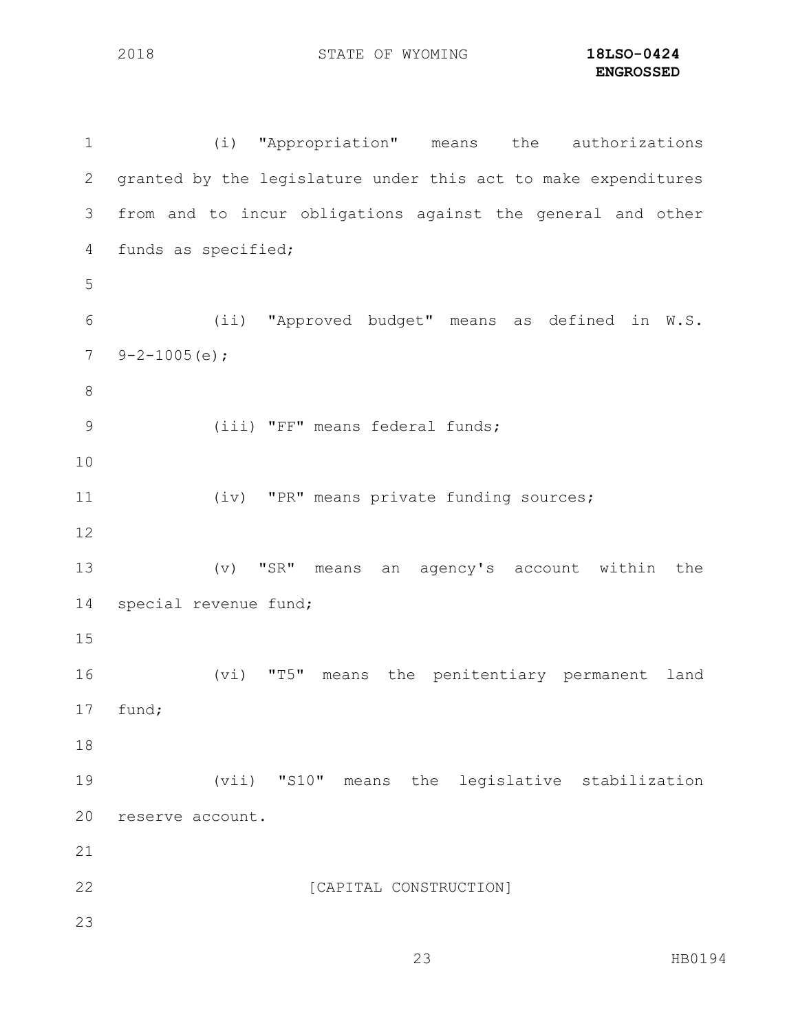(i) "Appropriation" means the authorizations granted by the legislature under this act to make expenditures from and to incur obligations against the general and other funds as specified; (ii) "Approved budget" means as defined in W.S.  $7 \quad 9 - 2 - 1005$  (e); (iii) "FF" means federal funds; (iv) "PR" means private funding sources; (v) "SR" means an agency's account within the special revenue fund; (vi) "T5" means the penitentiary permanent land fund; (vii) "S10" means the legislative stabilization reserve account. 22 [CAPITAL CONSTRUCTION]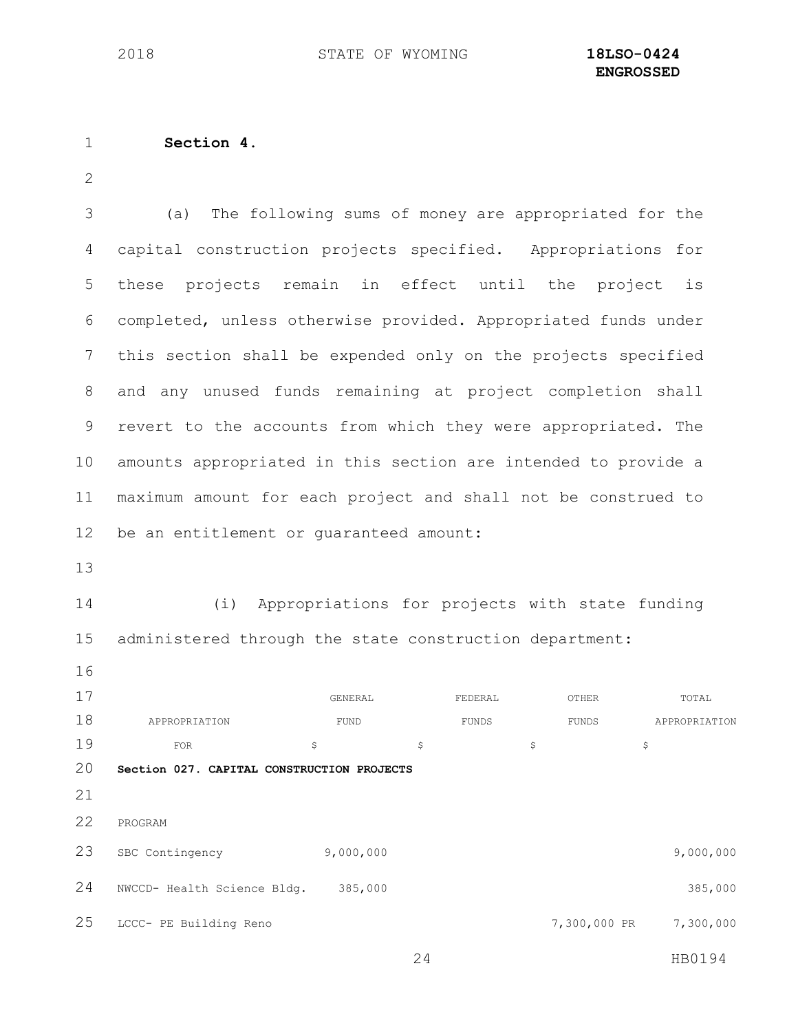#### **Section 4**.

 (a) The following sums of money are appropriated for the capital construction projects specified. Appropriations for these projects remain in effect until the project is completed, unless otherwise provided. Appropriated funds under this section shall be expended only on the projects specified and any unused funds remaining at project completion shall revert to the accounts from which they were appropriated. The amounts appropriated in this section are intended to provide a maximum amount for each project and shall not be construed to be an entitlement or guaranteed amount:

 (i) Appropriations for projects with state funding administered through the state construction department:

17 GENERAL GENERAL FEDERAL OTHER TOTAL 18 APPROPRIATION FUND FUND FUNDS FUNDS APPROPRIATION FOR  $\frac{19}{19}$  FOR **Section 027. CAPITAL CONSTRUCTION PROJECTS** PROGRAM SBC Contingency 9,000,000 9,000,000 NWCCD- Health Science Bldg. 385,000 385,000 LCCC- PE Building Reno 7,300,000 PR 7,300,000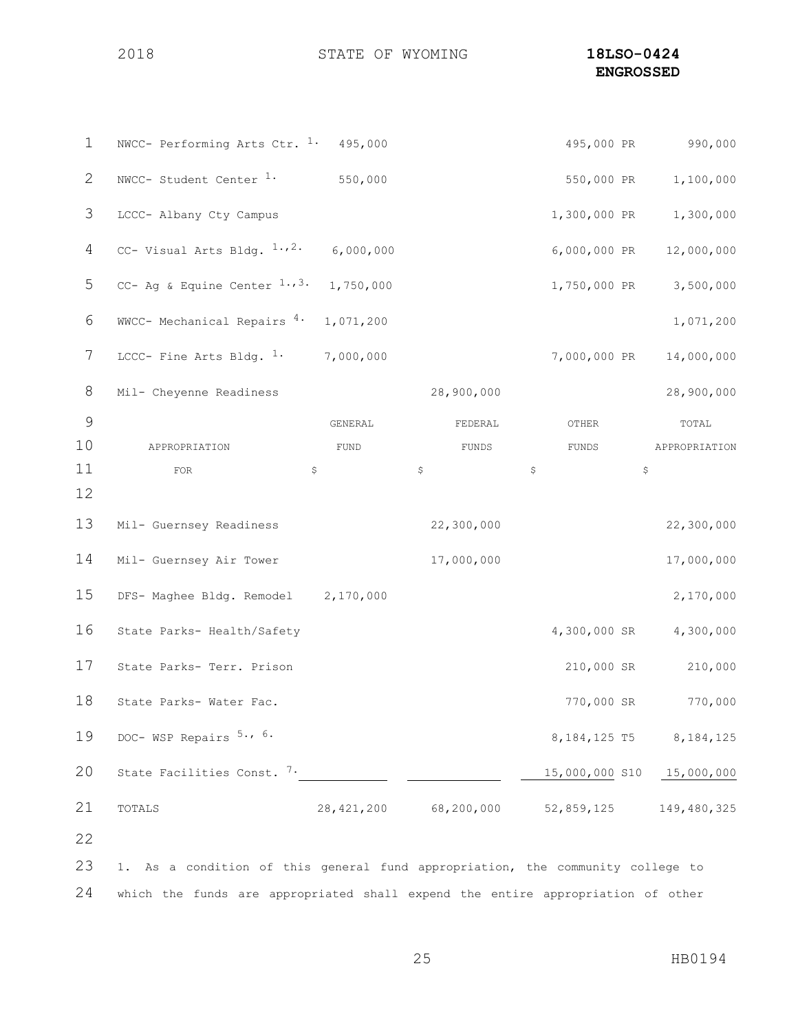### STATE OF WYOMING **18LSO-0424 ENGROSSED**

| 550,000 PR<br>1,100,000<br>1,300,000 PR 1,300,000<br>6,000,000 PR<br>12,000,000<br>1,750,000 PR<br>3,500,000 |
|--------------------------------------------------------------------------------------------------------------|
|                                                                                                              |
|                                                                                                              |
|                                                                                                              |
|                                                                                                              |
| 1,071,200                                                                                                    |
| 7,000,000 PR<br>14,000,000                                                                                   |
| 28,900,000                                                                                                   |
| TOTAL                                                                                                        |
| APPROPRIATION                                                                                                |
| $\varsigma$                                                                                                  |
|                                                                                                              |
| 22,300,000                                                                                                   |
| 17,000,000                                                                                                   |
| 2,170,000                                                                                                    |
| 4,300,000 SR<br>4,300,000                                                                                    |
| 210,000 SR<br>210,000                                                                                        |
| 770,000 SR 770,000                                                                                           |
| 8,184,125 T5<br>8, 184, 125                                                                                  |
| 15,000,000 S10 15,000,000                                                                                    |
|                                                                                                              |
| 149,480,325                                                                                                  |
|                                                                                                              |
|                                                                                                              |

which the funds are appropriated shall expend the entire appropriation of other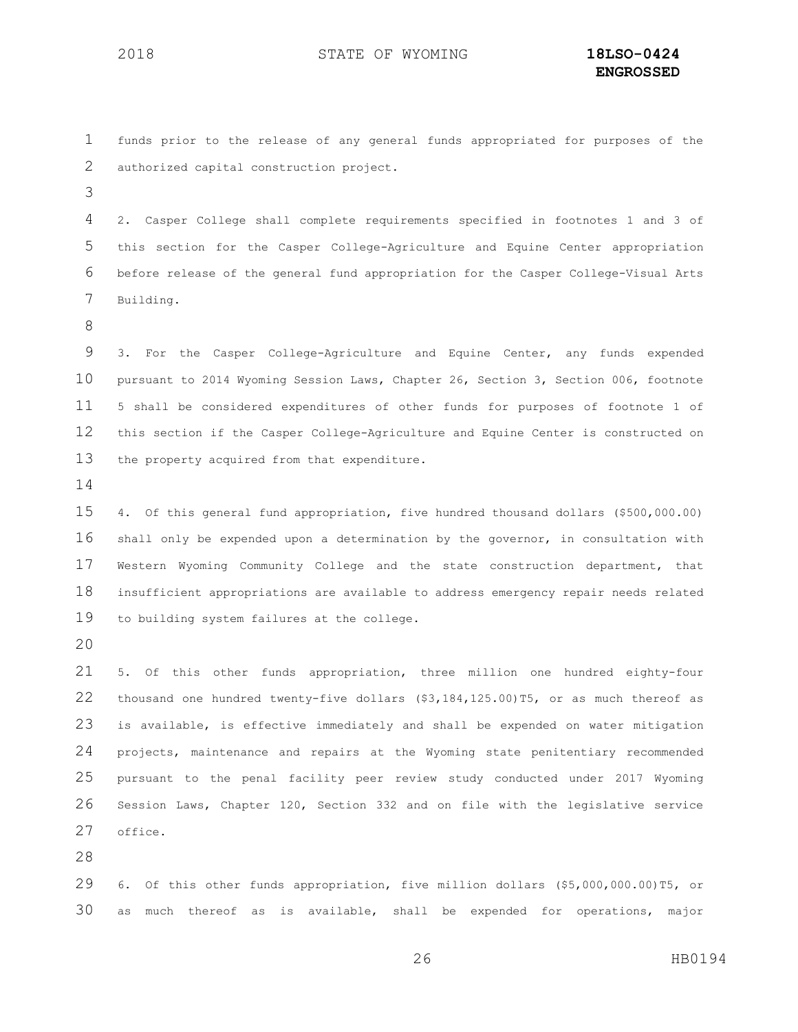funds prior to the release of any general funds appropriated for purposes of the authorized capital construction project.

 2. Casper College shall complete requirements specified in footnotes 1 and 3 of this section for the Casper College-Agriculture and Equine Center appropriation before release of the general fund appropriation for the Casper College-Visual Arts Building.

 3. For the Casper College-Agriculture and Equine Center, any funds expended pursuant to 2014 Wyoming Session Laws, Chapter 26, Section 3, Section 006, footnote 5 shall be considered expenditures of other funds for purposes of footnote 1 of this section if the Casper College-Agriculture and Equine Center is constructed on the property acquired from that expenditure.

 4. Of this general fund appropriation, five hundred thousand dollars (\$500,000.00) shall only be expended upon a determination by the governor, in consultation with Western Wyoming Community College and the state construction department, that insufficient appropriations are available to address emergency repair needs related to building system failures at the college.

 5. Of this other funds appropriation, three million one hundred eighty-four thousand one hundred twenty-five dollars (\$3,184,125.00)T5, or as much thereof as is available, is effective immediately and shall be expended on water mitigation projects, maintenance and repairs at the Wyoming state penitentiary recommended pursuant to the penal facility peer review study conducted under 2017 Wyoming Session Laws, Chapter 120, Section 332 and on file with the legislative service office.

 6. Of this other funds appropriation, five million dollars (\$5,000,000.00)T5, or as much thereof as is available, shall be expended for operations, major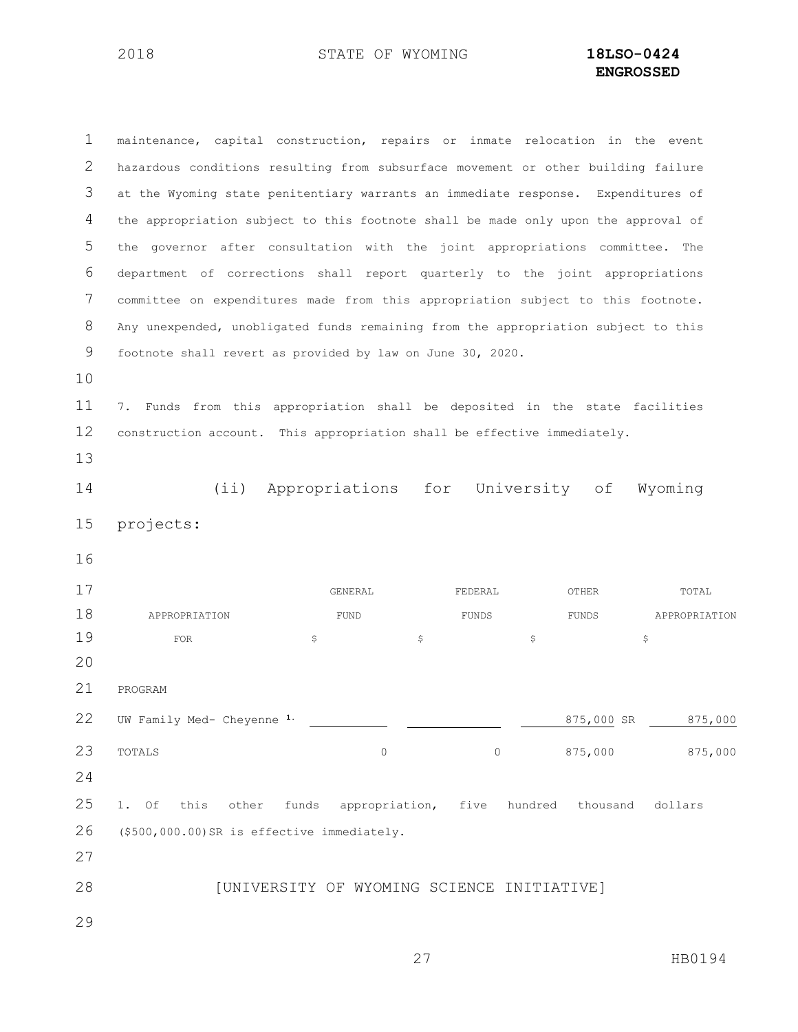maintenance, capital construction, repairs or inmate relocation in the event hazardous conditions resulting from subsurface movement or other building failure at the Wyoming state penitentiary warrants an immediate response. Expenditures of the appropriation subject to this footnote shall be made only upon the approval of the governor after consultation with the joint appropriations committee. The department of corrections shall report quarterly to the joint appropriations committee on expenditures made from this appropriation subject to this footnote. Any unexpended, unobligated funds remaining from the appropriation subject to this footnote shall revert as provided by law on June 30, 2020. 7. Funds from this appropriation shall be deposited in the state facilities construction account. This appropriation shall be effective immediately. (ii) Appropriations for University of Wyoming projects: GENERAL FEDERAL OTHER TOTAL 18 APPROPRIATION FUND FUND FUNDS FUNDS APPROPRIATION 19 FOR  $\qquad \qquad$   $\qquad \qquad$   $\qquad \qquad$   $\qquad \qquad$   $\qquad \qquad$   $\qquad \qquad$   $\qquad \qquad$   $\qquad \qquad$   $\qquad \qquad$  PROGRAM UW Family Med- Cheyenne **1.** 875,000 SR 875,000 TOTALS 0 0 875,000 875,000 1. Of this other funds appropriation, five hundred thousand dollars (\$500,000.00)SR is effective immediately. **INITIATIVERSITY OF WYOMING SCIENCE INITIATIVE**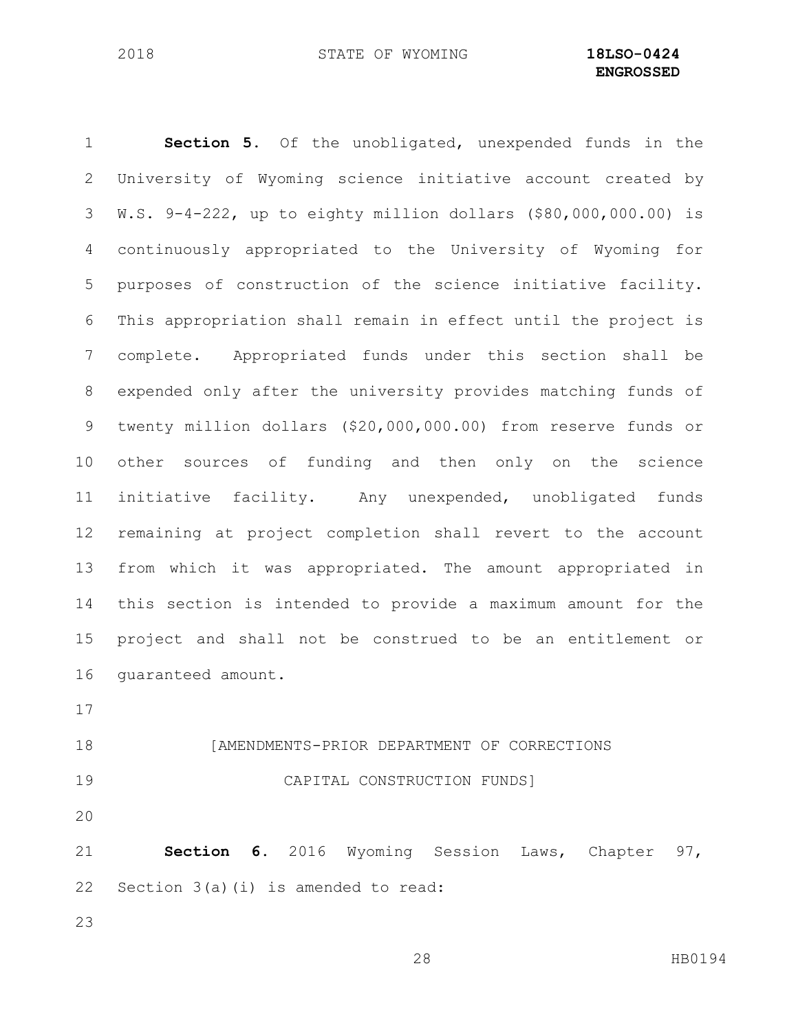**Section 5.** Of the unobligated, unexpended funds in the University of Wyoming science initiative account created by W.S. 9-4-222, up to eighty million dollars (\$80,000,000.00) is continuously appropriated to the University of Wyoming for purposes of construction of the science initiative facility. This appropriation shall remain in effect until the project is complete. Appropriated funds under this section shall be expended only after the university provides matching funds of twenty million dollars (\$20,000,000.00) from reserve funds or other sources of funding and then only on the science initiative facility. Any unexpended, unobligated funds remaining at project completion shall revert to the account from which it was appropriated. The amount appropriated in this section is intended to provide a maximum amount for the project and shall not be construed to be an entitlement or guaranteed amount. [AMENDMENTS-PRIOR DEPARTMENT OF CORRECTIONS CAPITAL CONSTRUCTION FUNDS]

 **Section 6.** 2016 Wyoming Session Laws, Chapter 97, Section 3(a)(i) is amended to read: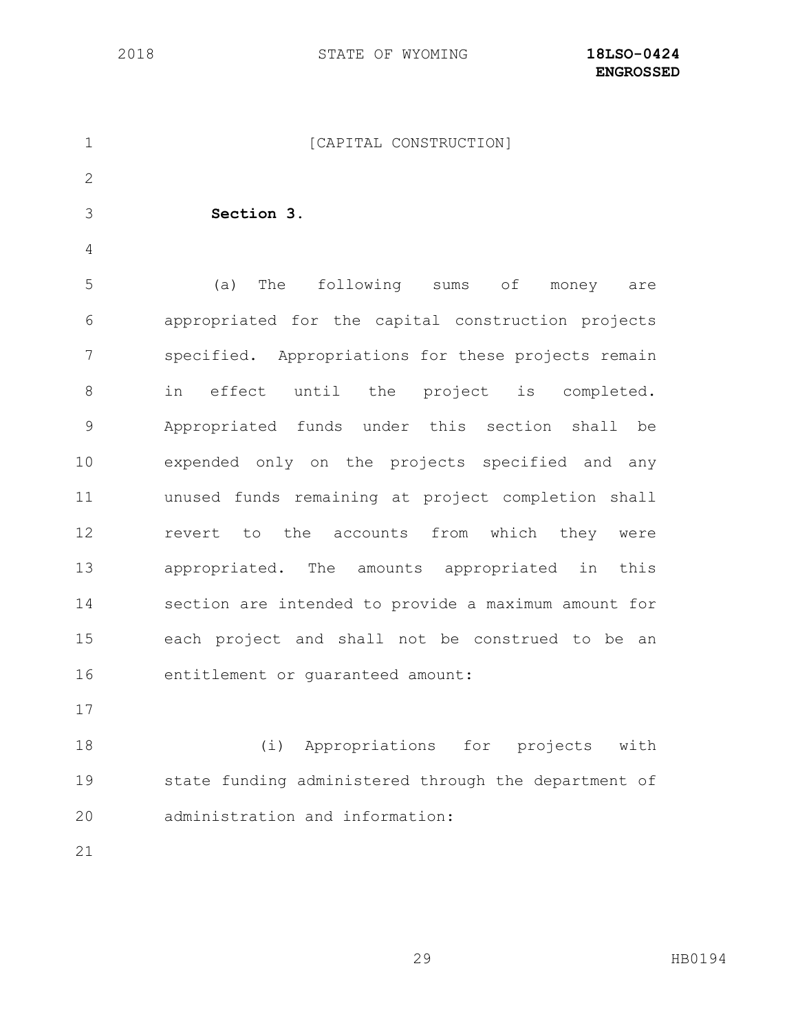| $\mathbf 1$  | [CAPITAL CONSTRUCTION]                               |
|--------------|------------------------------------------------------|
| $\mathbf{2}$ |                                                      |
| 3            | Section 3.                                           |
| 4            |                                                      |
| 5            | following sums<br>(a)<br>The<br>of<br>money<br>are   |
| 6            | appropriated for the capital construction projects   |
| 7            | specified. Appropriations for these projects remain  |
| 8            | effect until the project is completed.<br>in         |
| $\mathsf 9$  | Appropriated funds under this section shall<br>be    |
| 10           | expended only on the projects specified and any      |
| 11           | unused funds remaining at project completion shall   |
| 12           | revert to the accounts from which they were          |
| 13           | appropriated. The amounts appropriated in<br>this    |
| 14           | section are intended to provide a maximum amount for |
| 15           | each project and shall not be construed to be an     |
| 16           | entitlement or guaranteed amount:                    |
| 17           |                                                      |
| 18           | (i) Appropriations for projects with                 |
| 19           | state funding administered through the department of |
| 20           | administration and information:                      |
| 21           |                                                      |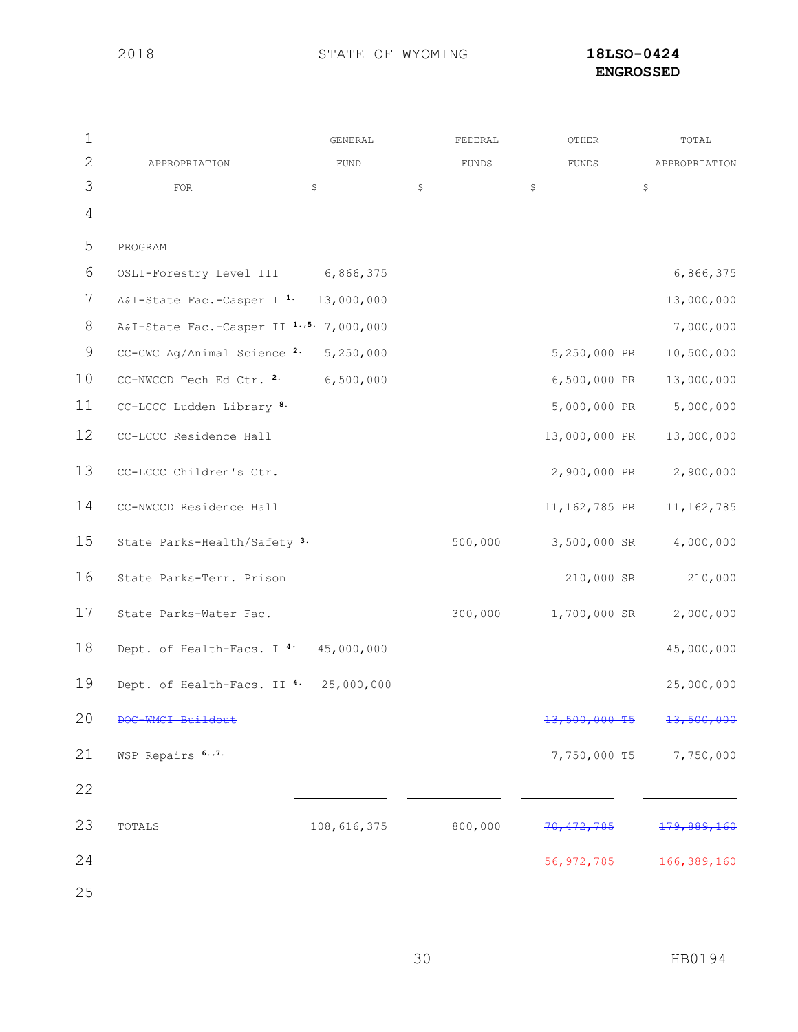# **ENGROSSED**

| $\mathbf 1$     |                                                  | GENERAL     | FEDERAL |              | OTHER         | TOTAL         |
|-----------------|--------------------------------------------------|-------------|---------|--------------|---------------|---------------|
| $\mathbf{2}$    | APPROPRIATION                                    | <b>FUND</b> | FUNDS   |              | FUNDS         | APPROPRIATION |
| 3               | FOR                                              | \$          | \$      | \$           |               | \$            |
| $\overline{4}$  |                                                  |             |         |              |               |               |
| 5               | PROGRAM                                          |             |         |              |               |               |
| 6               | OSLI-Forestry Level III 6,866,375                |             |         |              |               | 6,866,375     |
| 7               | A&I-State Fac.-Casper I <sup>1.</sup> 13,000,000 |             |         |              |               | 13,000,000    |
| 8               | A&I-State Fac.-Casper II 1.,5. 7,000,000         |             |         |              |               | 7,000,000     |
| $\mathsf 9$     | CC-CWC Ag/Animal Science 2.                      | 5,250,000   |         |              | 5,250,000 PR  | 10,500,000    |
| 10              | CC-NWCCD Tech Ed Ctr. 2.                         | 6,500,000   |         |              | 6,500,000 PR  | 13,000,000    |
| 11              | CC-LCCC Ludden Library <sup>8.</sup>             |             |         |              | 5,000,000 PR  | 5,000,000     |
| 12 <sup>°</sup> | CC-LCCC Residence Hall                           |             |         |              | 13,000,000 PR | 13,000,000    |
| 13              | CC-LCCC Children's Ctr.                          |             |         |              | 2,900,000 PR  | 2,900,000     |
| 14              | CC-NWCCD Residence Hall                          |             |         |              | 11,162,785 PR | 11, 162, 785  |
| 15              | State Parks-Health/Safety <sup>3.</sup>          |             | 500,000 |              | 3,500,000 SR  | 4,000,000     |
| 16              | State Parks-Terr. Prison                         |             |         |              | 210,000 SR    | 210,000       |
| 17              | State Parks-Water Fac.                           |             | 300,000 |              | 1,700,000 SR  | 2,000,000     |
| 18              | Dept. of Health-Facs. I <sup>4</sup> 45,000,000  |             |         |              |               | 45,000,000    |
| 19              | Dept. of Health-Facs. II 4.                      | 25,000,000  |         |              |               | 25,000,000    |
| 20              |                                                  |             |         |              |               |               |
| 21              | WSP Repairs 6.,7.                                |             |         |              | 7,750,000 T5  | 7,750,000     |
| 22              |                                                  |             |         |              |               |               |
| 23              | TOTALS                                           | 108,616,375 | 800,000 | 70           | 172.785       | 79.889.       |
| 24              |                                                  |             |         | 56, 972, 785 |               | 166, 389, 160 |
| 25              |                                                  |             |         |              |               |               |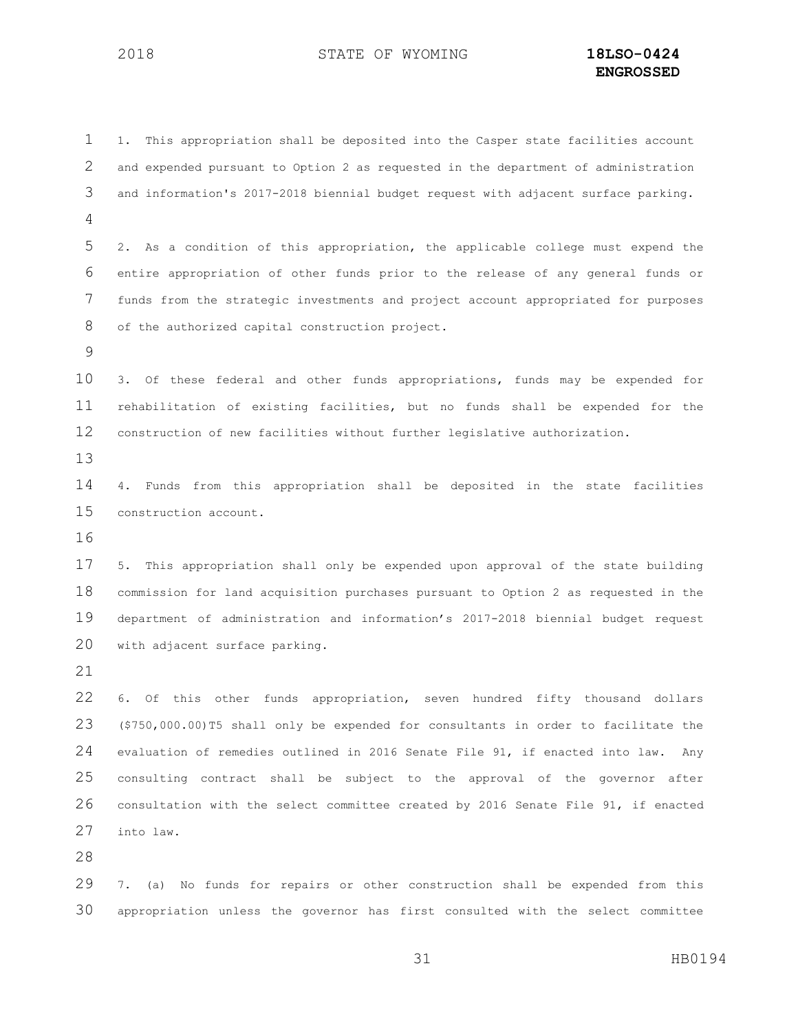1. This appropriation shall be deposited into the Casper state facilities account and expended pursuant to Option 2 as requested in the department of administration and information's 2017-2018 biennial budget request with adjacent surface parking. 2. As a condition of this appropriation, the applicable college must expend the entire appropriation of other funds prior to the release of any general funds or funds from the strategic investments and project account appropriated for purposes of the authorized capital construction project. 3. Of these federal and other funds appropriations, funds may be expended for rehabilitation of existing facilities, but no funds shall be expended for the construction of new facilities without further legislative authorization. 4. Funds from this appropriation shall be deposited in the state facilities construction account. 5. This appropriation shall only be expended upon approval of the state building commission for land acquisition purchases pursuant to Option 2 as requested in the department of administration and information's 2017-2018 biennial budget request with adjacent surface parking. 6. Of this other funds appropriation, seven hundred fifty thousand dollars (\$750,000.00)T5 shall only be expended for consultants in order to facilitate the evaluation of remedies outlined in 2016 Senate File 91, if enacted into law. Any consulting contract shall be subject to the approval of the governor after consultation with the select committee created by 2016 Senate File 91, if enacted into law.

 7. (a) No funds for repairs or other construction shall be expended from this appropriation unless the governor has first consulted with the select committee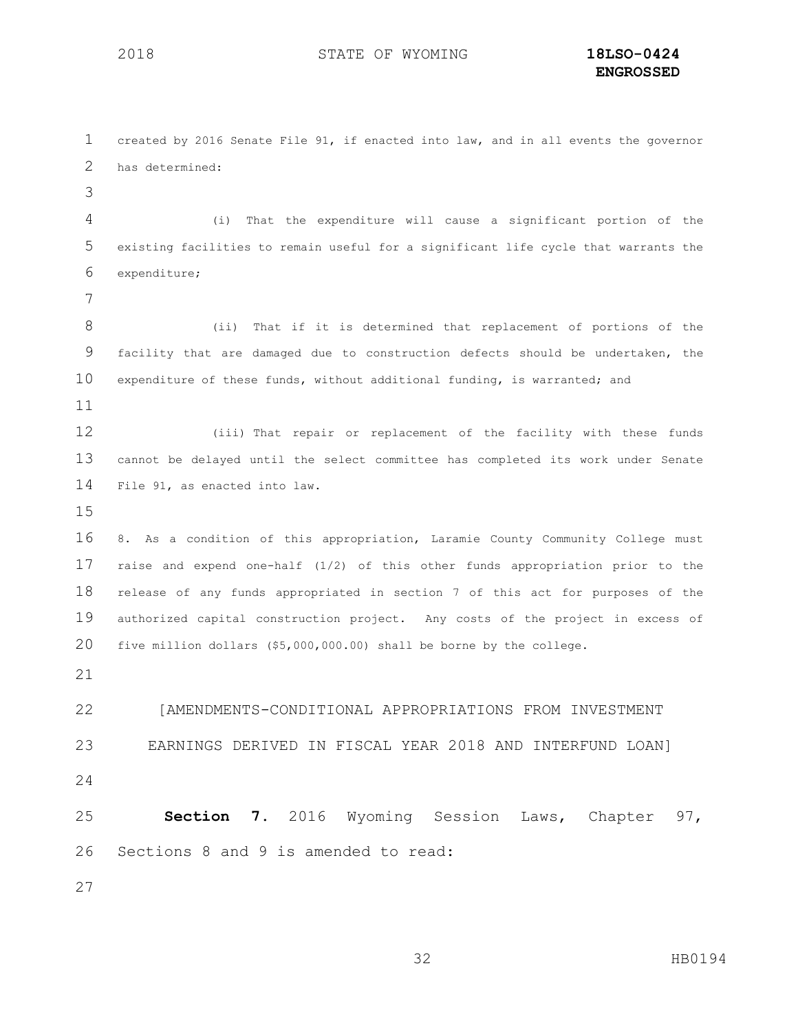| 1            | created by 2016 Senate File 91, if enacted into law, and in all events the governor |
|--------------|-------------------------------------------------------------------------------------|
| $\mathbf{2}$ | has determined:                                                                     |
| 3            |                                                                                     |
| 4            | That the expenditure will cause a significant portion of the<br>(i)                 |
| 5            | existing facilities to remain useful for a significant life cycle that warrants the |
| 6            | expenditure;                                                                        |
| 7            |                                                                                     |
| 8            | That if it is determined that replacement of portions of the<br>(i)                 |
| 9            | facility that are damaged due to construction defects should be undertaken, the     |
| 10           | expenditure of these funds, without additional funding, is warranted; and           |
| 11           |                                                                                     |
| 12           | (iii) That repair or replacement of the facility with these funds                   |
| 13           | cannot be delayed until the select committee has completed its work under Senate    |
| 14           | File 91, as enacted into law.                                                       |
| 15           |                                                                                     |
| 16           | 8. As a condition of this appropriation, Laramie County Community College must      |
| 17           | raise and expend one-half (1/2) of this other funds appropriation prior to the      |
| 18           | release of any funds appropriated in section 7 of this act for purposes of the      |
| 19           | authorized capital construction project. Any costs of the project in excess of      |
| 20           | five million dollars (\$5,000,000.00) shall be borne by the college.                |
| 21           |                                                                                     |
| 22           | [AMENDMENTS-CONDITIONAL APPROPRIATIONS FROM INVESTMENT                              |
| 23           | EARNINGS DERIVED IN FISCAL YEAR 2018 AND INTERFUND LOAN]                            |
| 24           |                                                                                     |
| 25           | Section 7. 2016 Wyoming Session Laws, Chapter 97,                                   |
| 26           | Sections 8 and 9 is amended to read:                                                |
| 27           |                                                                                     |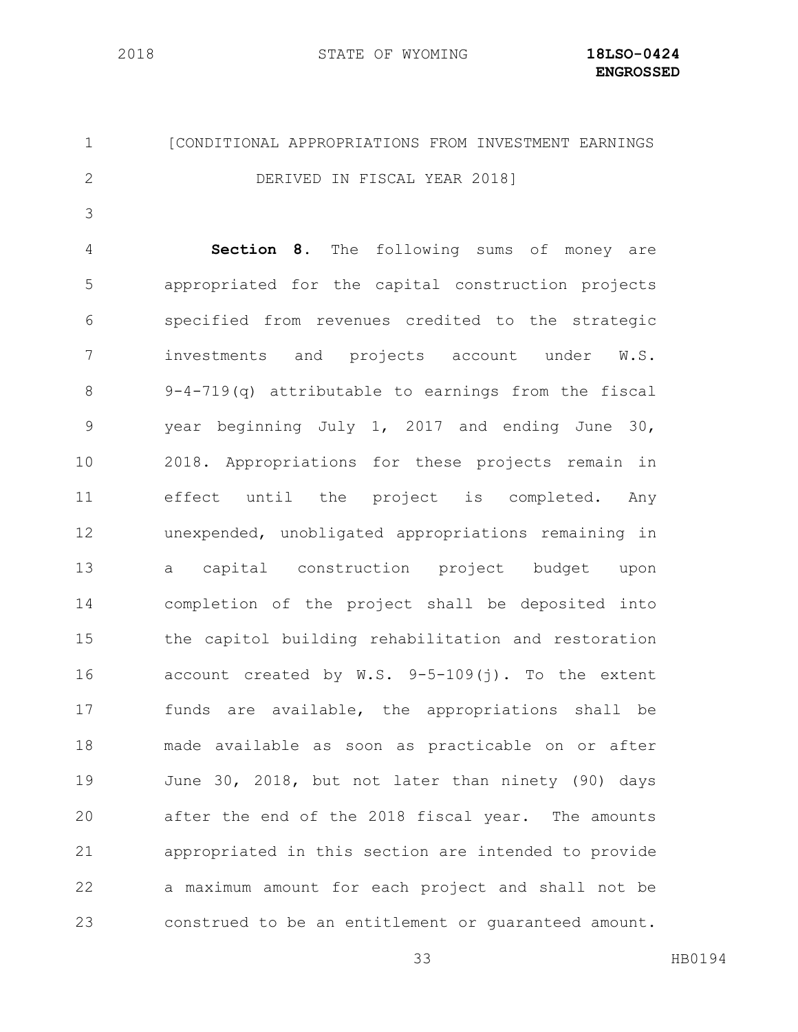STATE OF WYOMING **18LSO-0424**

# [CONDITIONAL APPROPRIATIONS FROM INVESTMENT EARNINGS DERIVED IN FISCAL YEAR 2018]

 **Section 8.** The following sums of money are appropriated for the capital construction projects specified from revenues credited to the strategic investments and projects account under W.S. 9-4-719(q) attributable to earnings from the fiscal year beginning July 1, 2017 and ending June 30, 2018. Appropriations for these projects remain in effect until the project is completed. Any unexpended, unobligated appropriations remaining in a capital construction project budget upon completion of the project shall be deposited into the capitol building rehabilitation and restoration account created by W.S. 9-5-109(j). To the extent funds are available, the appropriations shall be made available as soon as practicable on or after June 30, 2018, but not later than ninety (90) days after the end of the 2018 fiscal year. The amounts appropriated in this section are intended to provide a maximum amount for each project and shall not be construed to be an entitlement or guaranteed amount.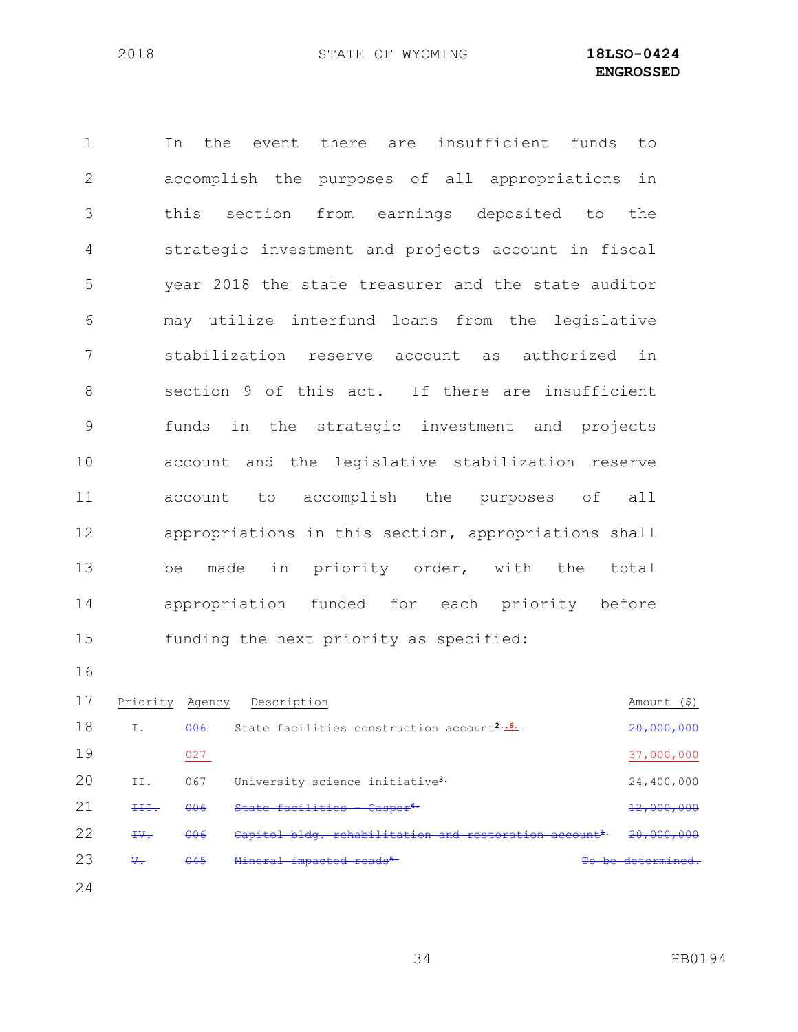In the event there are insufficient funds to accomplish the purposes of all appropriations in this section from earnings deposited to the strategic investment and projects account in fiscal year 2018 the state treasurer and the state auditor may utilize interfund loans from the legislative stabilization reserve account as authorized in section 9 of this act. If there are insufficient funds in the strategic investment and projects account and the legislative stabilization reserve account to accomplish the purposes of all appropriations in this section, appropriations shall be made in priority order, with the total appropriation funded for each priority before funding the next priority as specified: 17 Priority Agency Description Amount (\$)

| 18 | Ι.          | 006 | State facilities construction account <sup>2.16</sup>             | 20,000,000     |
|----|-------------|-----|-------------------------------------------------------------------|----------------|
| 19 |             | 027 |                                                                   | 37,000,000     |
| 20 | II.         | 067 | University science initiative <sup>3.</sup>                       | 24,400,000     |
| 21 | <b>TILL</b> | 006 | State facilities - Casper <sup>4.</sup>                           | 12,000,000     |
| 22 | $\pm v$ .   | 006 | Capitol bldg. rehabilitation and restoration account <sup>1</sup> | 20,000,000     |
| 23 | $\vee$ .    | 045 | Mineral impacted roads <sup>5.</sup>                              | be determined. |
| 24 |             |     |                                                                   |                |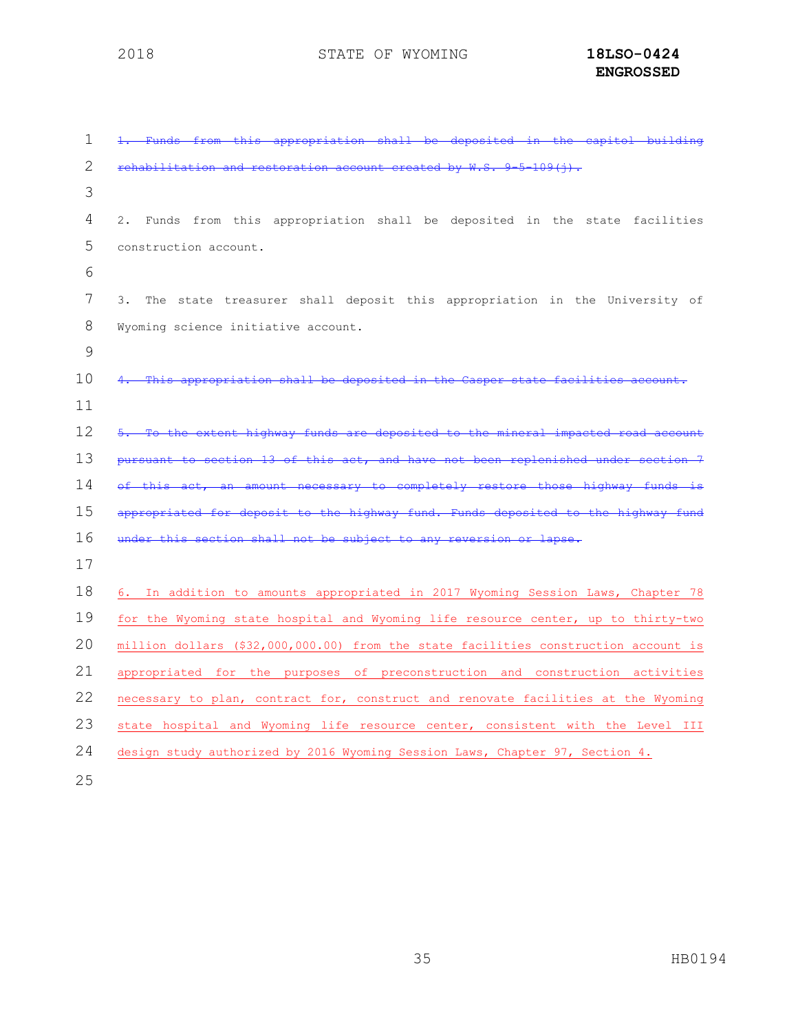| 1  | ch <sub>211</sub>                                                                   |
|----|-------------------------------------------------------------------------------------|
| 2  |                                                                                     |
| 3  |                                                                                     |
| 4  | 2. Funds from this appropriation shall be deposited in the state facilities         |
| 5  | construction account.                                                               |
| 6  |                                                                                     |
| 7  | The state treasurer shall deposit this appropriation in the University of<br>3.     |
| 8  | Wyoming science initiative account.                                                 |
| 9  |                                                                                     |
| 10 |                                                                                     |
| 11 |                                                                                     |
| 12 |                                                                                     |
| 13 |                                                                                     |
| 14 | completely<br>$\pm$ hosc                                                            |
| 15 | $+he$<br>Funde                                                                      |
| 16 |                                                                                     |
| 17 |                                                                                     |
| 18 | 6. In addition to amounts appropriated in 2017 Wyoming Session Laws, Chapter 78     |
| 19 | for the Wyoming state hospital and Wyoming life resource center, up to thirty-two   |
| 20 | million dollars (\$32,000,000.00) from the state facilities construction account is |
| 21 | appropriated for the purposes of preconstruction and construction activities        |
| 22 | necessary to plan, contract for, construct and renovate facilities at the Wyoming   |
| 23 | state hospital and Wyoming life resource center, consistent with the Level III      |
| 24 | design study authorized by 2016 Wyoming Session Laws, Chapter 97, Section 4.        |
|    |                                                                                     |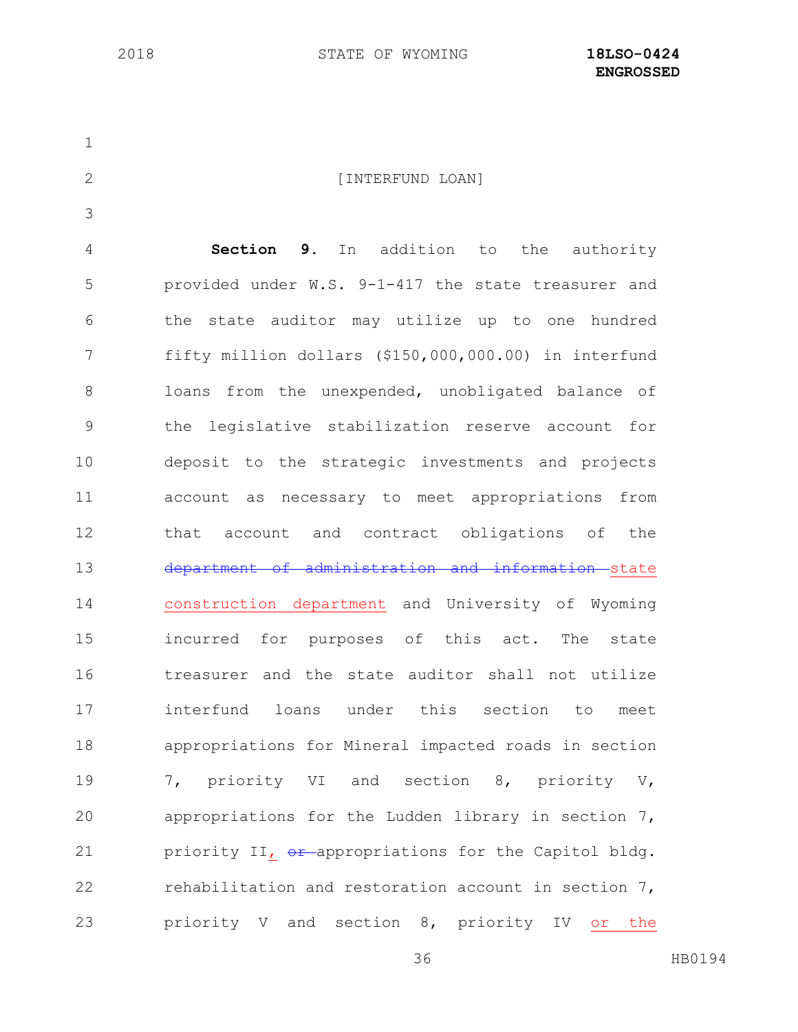2 [INTERFUND LOAN] **Section 9.** In addition to the authority provided under W.S. 9-1-417 the state treasurer and the state auditor may utilize up to one hundred fifty million dollars (\$150,000,000.00) in interfund loans from the unexpended, unobligated balance of the legislative stabilization reserve account for deposit to the strategic investments and projects account as necessary to meet appropriations from that account and contract obligations of the 13 department of administration and information state construction department and University of Wyoming incurred for purposes of this act. The state treasurer and the state auditor shall not utilize interfund loans under this section to meet appropriations for Mineral impacted roads in section 7, priority VI and section 8, priority V, appropriations for the Ludden library in section 7, 21 priority II, or appropriations for the Capitol bldg. rehabilitation and restoration account in section 7, priority V and section 8, priority IV or the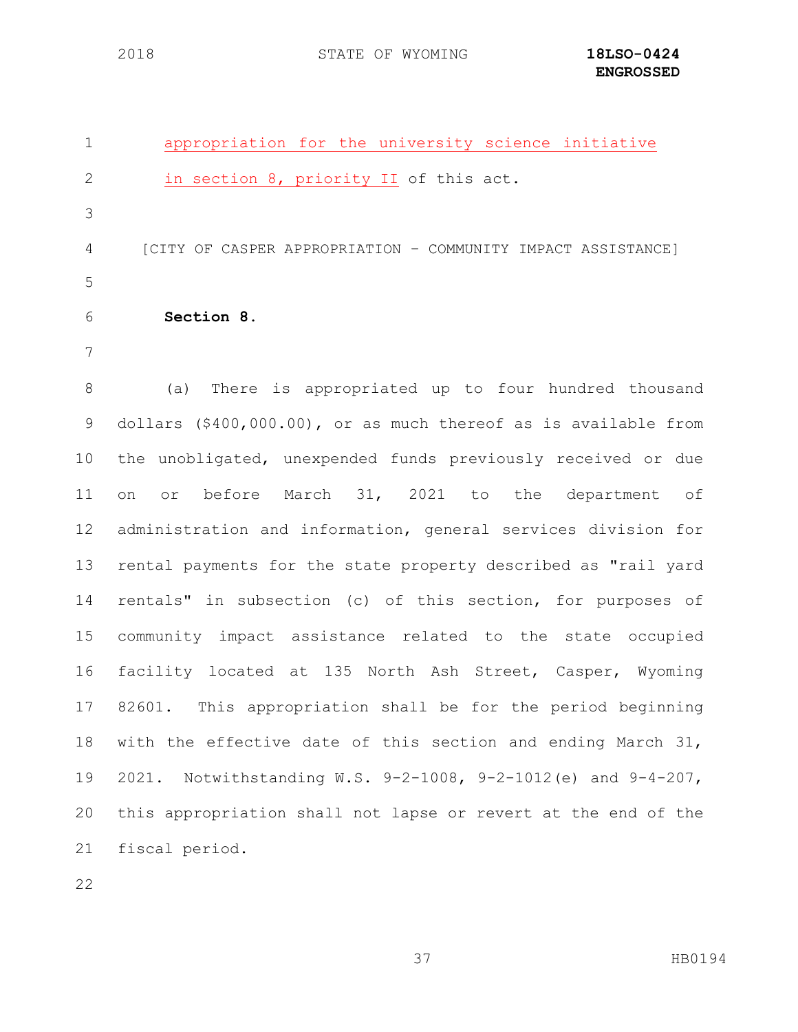| 1 | appropriation for the university science initiative          |
|---|--------------------------------------------------------------|
| 2 | in section 8, priority II of this act.                       |
| 3 |                                                              |
| 4 | [CITY OF CASPER APPROPRIATION - COMMUNITY IMPACT ASSISTANCE] |
| 5 |                                                              |
| 6 | Section 8.                                                   |
|   |                                                              |
|   |                                                              |

 (a)There is appropriated up to four hundred thousand dollars (\$400,000.00), or as much thereof as is available from the unobligated, unexpended funds previously received or due on or before March 31, 2021 to the department of administration and information, general services division for rental payments for the state property described as "rail yard rentals" in subsection (c) of this section, for purposes of community impact assistance related to the state occupied facility located at 135 North Ash Street, Casper, Wyoming 82601. This appropriation shall be for the period beginning with the effective date of this section and ending March 31, 2021. Notwithstanding W.S. 9-2-1008, 9-2-1012(e) and 9-4-207, this appropriation shall not lapse or revert at the end of the fiscal period.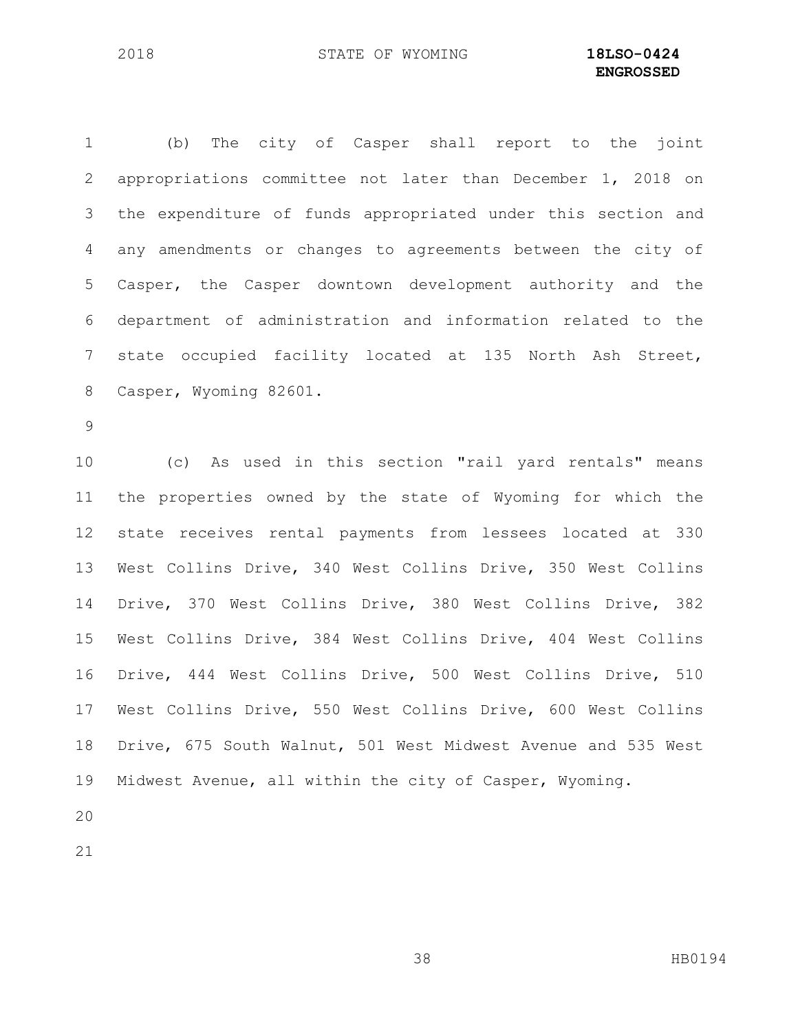(b) The city of Casper shall report to the joint appropriations committee not later than December 1, 2018 on the expenditure of funds appropriated under this section and any amendments or changes to agreements between the city of Casper, the Casper downtown development authority and the department of administration and information related to the state occupied facility located at 135 North Ash Street, Casper, Wyoming 82601. 

 (c) As used in this section "rail yard rentals" means the properties owned by the state of Wyoming for which the state receives rental payments from lessees located at 330 West Collins Drive, 340 West Collins Drive, 350 West Collins Drive, 370 West Collins Drive, 380 West Collins Drive, 382 West Collins Drive, 384 West Collins Drive, 404 West Collins Drive, 444 West Collins Drive, 500 West Collins Drive, 510 West Collins Drive, 550 West Collins Drive, 600 West Collins Drive, 675 South Walnut, 501 West Midwest Avenue and 535 West Midwest Avenue, all within the city of Casper, Wyoming.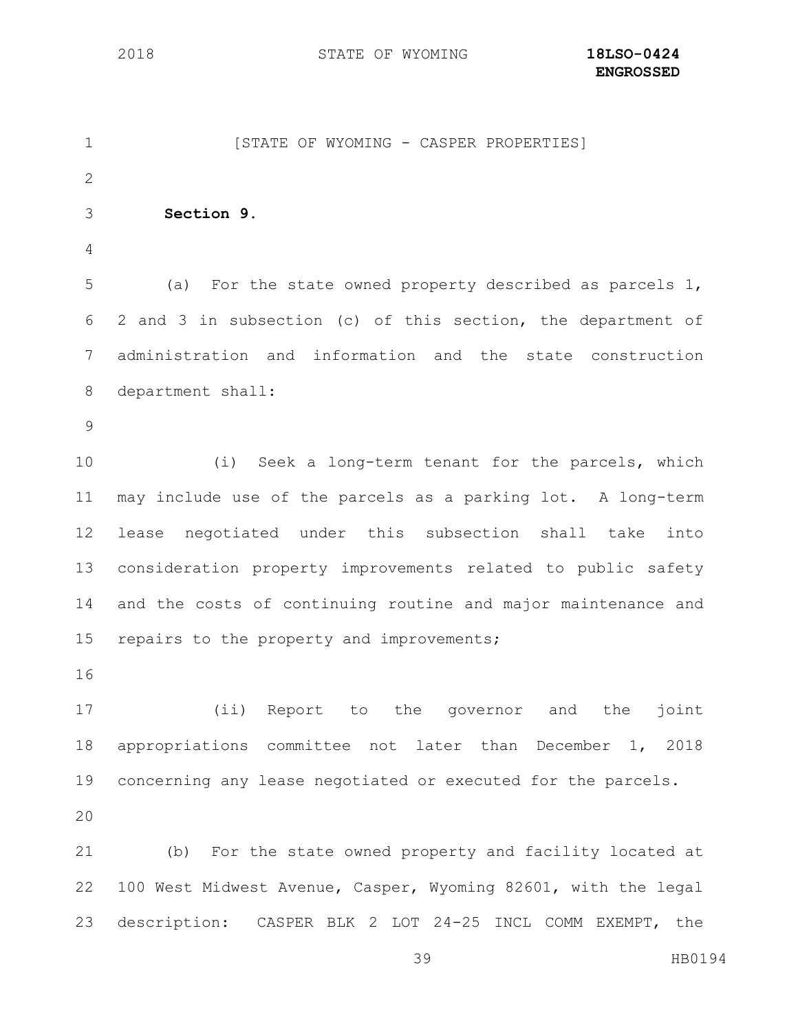1 [STATE OF WYOMING - CASPER PROPERTIES] **Section 9.** (a) For the state owned property described as parcels 1, 2 and 3 in subsection (c) of this section, the department of administration and information and the state construction department shall: (i) Seek a long-term tenant for the parcels, which may include use of the parcels as a parking lot. A long-term lease negotiated under this subsection shall take into consideration property improvements related to public safety and the costs of continuing routine and major maintenance and 15 repairs to the property and improvements; (ii) Report to the governor and the joint appropriations committee not later than December 1, 2018 concerning any lease negotiated or executed for the parcels. (b) For the state owned property and facility located at 100 West Midwest Avenue, Casper, Wyoming 82601, with the legal description: CASPER BLK 2 LOT 24-25 INCL COMM EXEMPT, the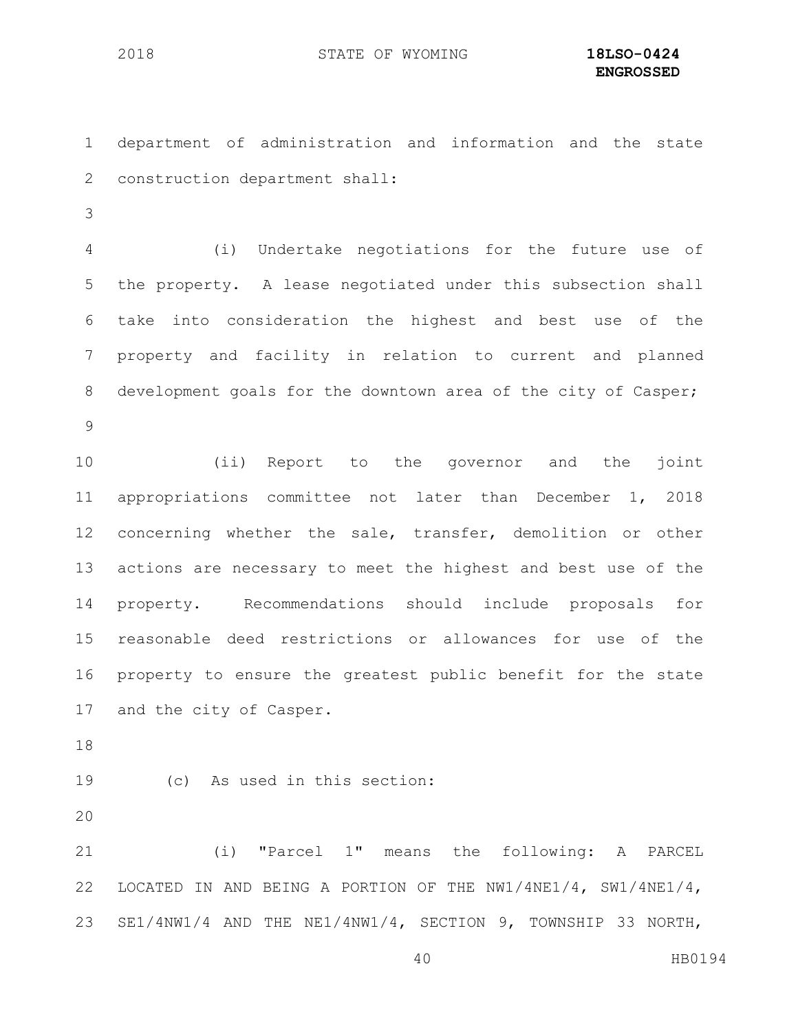department of administration and information and the state construction department shall:

 (i) Undertake negotiations for the future use of the property. A lease negotiated under this subsection shall take into consideration the highest and best use of the property and facility in relation to current and planned development goals for the downtown area of the city of Casper; 

 (ii) Report to the governor and the joint appropriations committee not later than December 1, 2018 concerning whether the sale, transfer, demolition or other actions are necessary to meet the highest and best use of the property. Recommendations should include proposals for reasonable deed restrictions or allowances for use of the property to ensure the greatest public benefit for the state and the city of Casper.

(c) As used in this section:

 (i) "Parcel 1" means the following: A PARCEL LOCATED IN AND BEING A PORTION OF THE NW1/4NE1/4, SW1/4NE1/4, SE1/4NW1/4 AND THE NE1/4NW1/4, SECTION 9, TOWNSHIP 33 NORTH,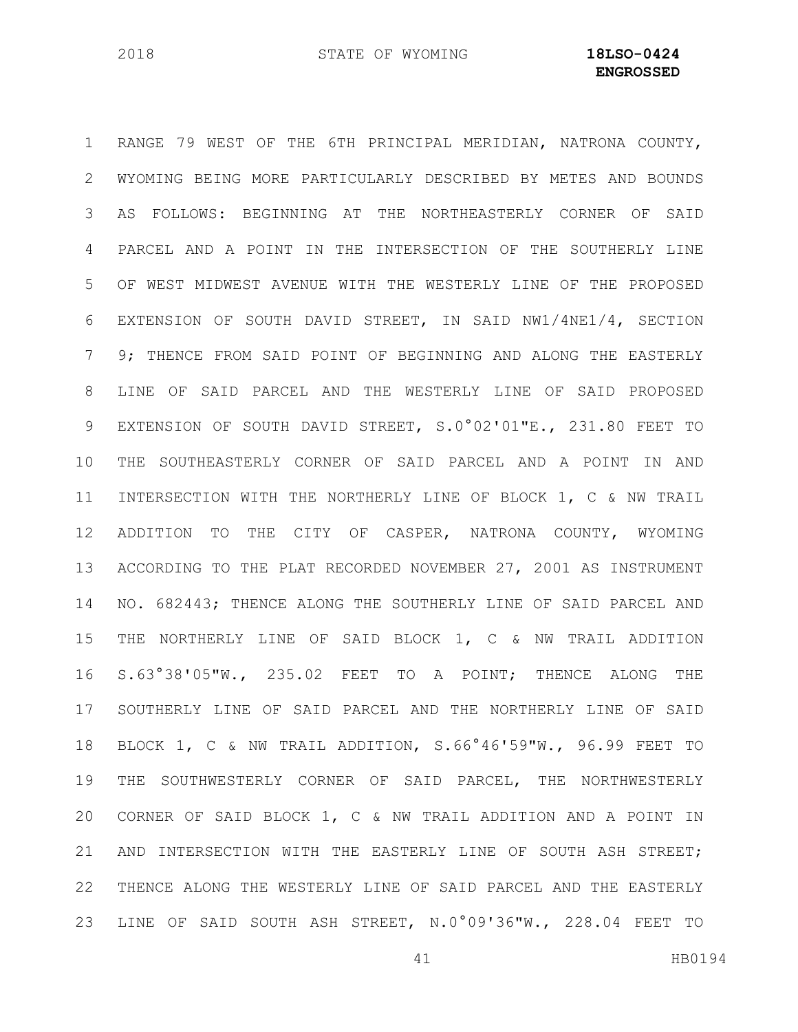RANGE 79 WEST OF THE 6TH PRINCIPAL MERIDIAN, NATRONA COUNTY, WYOMING BEING MORE PARTICULARLY DESCRIBED BY METES AND BOUNDS AS FOLLOWS: BEGINNING AT THE NORTHEASTERLY CORNER OF SAID PARCEL AND A POINT IN THE INTERSECTION OF THE SOUTHERLY LINE OF WEST MIDWEST AVENUE WITH THE WESTERLY LINE OF THE PROPOSED EXTENSION OF SOUTH DAVID STREET, IN SAID NW1/4NE1/4, SECTION 9; THENCE FROM SAID POINT OF BEGINNING AND ALONG THE EASTERLY LINE OF SAID PARCEL AND THE WESTERLY LINE OF SAID PROPOSED EXTENSION OF SOUTH DAVID STREET, S.0°02'01"E., 231.80 FEET TO THE SOUTHEASTERLY CORNER OF SAID PARCEL AND A POINT IN AND INTERSECTION WITH THE NORTHERLY LINE OF BLOCK 1, C & NW TRAIL ADDITION TO THE CITY OF CASPER, NATRONA COUNTY, WYOMING ACCORDING TO THE PLAT RECORDED NOVEMBER 27, 2001 AS INSTRUMENT NO. 682443; THENCE ALONG THE SOUTHERLY LINE OF SAID PARCEL AND THE NORTHERLY LINE OF SAID BLOCK 1, C & NW TRAIL ADDITION S.63°38'05"W., 235.02 FEET TO A POINT; THENCE ALONG THE SOUTHERLY LINE OF SAID PARCEL AND THE NORTHERLY LINE OF SAID BLOCK 1, C & NW TRAIL ADDITION, S.66°46'59"W., 96.99 FEET TO THE SOUTHWESTERLY CORNER OF SAID PARCEL, THE NORTHWESTERLY CORNER OF SAID BLOCK 1, C & NW TRAIL ADDITION AND A POINT IN AND INTERSECTION WITH THE EASTERLY LINE OF SOUTH ASH STREET; THENCE ALONG THE WESTERLY LINE OF SAID PARCEL AND THE EASTERLY LINE OF SAID SOUTH ASH STREET, N.0°09'36"W., 228.04 FEET TO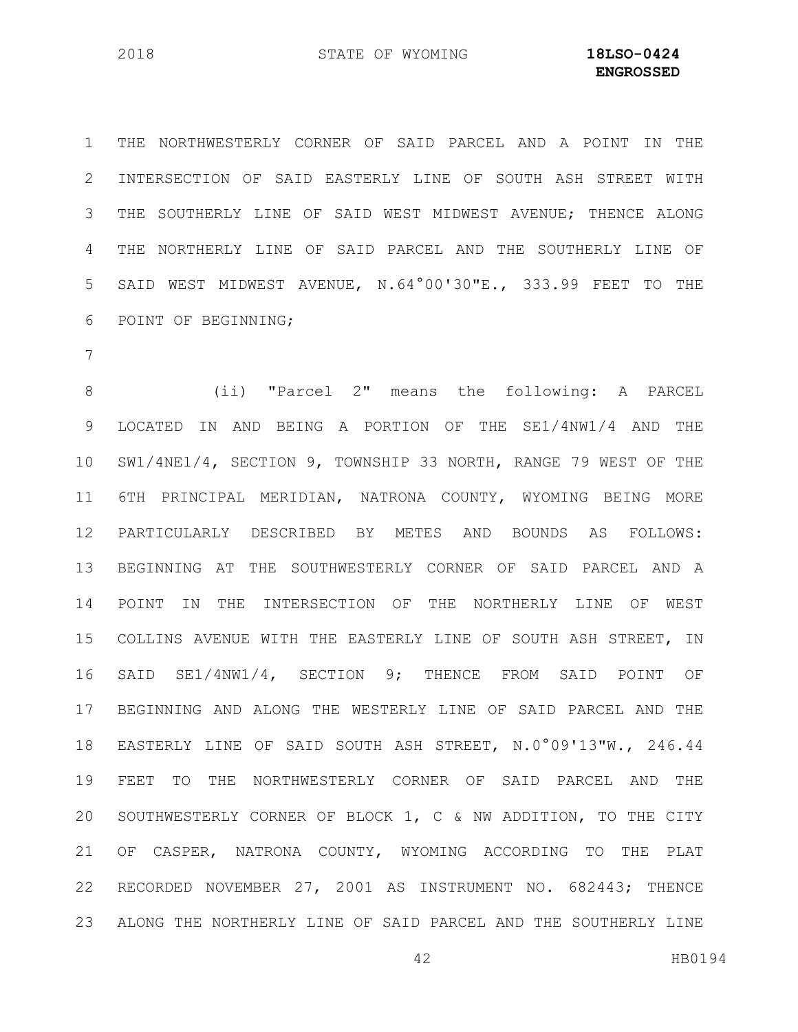THE NORTHWESTERLY CORNER OF SAID PARCEL AND A POINT IN THE INTERSECTION OF SAID EASTERLY LINE OF SOUTH ASH STREET WITH THE SOUTHERLY LINE OF SAID WEST MIDWEST AVENUE; THENCE ALONG THE NORTHERLY LINE OF SAID PARCEL AND THE SOUTHERLY LINE OF SAID WEST MIDWEST AVENUE, N.64°00'30"E., 333.99 FEET TO THE POINT OF BEGINNING;

 (ii) "Parcel 2" means the following: A PARCEL LOCATED IN AND BEING A PORTION OF THE SE1/4NW1/4 AND THE SW1/4NE1/4, SECTION 9, TOWNSHIP 33 NORTH, RANGE 79 WEST OF THE 6TH PRINCIPAL MERIDIAN, NATRONA COUNTY, WYOMING BEING MORE PARTICULARLY DESCRIBED BY METES AND BOUNDS AS FOLLOWS: BEGINNING AT THE SOUTHWESTERLY CORNER OF SAID PARCEL AND A POINT IN THE INTERSECTION OF THE NORTHERLY LINE OF WEST COLLINS AVENUE WITH THE EASTERLY LINE OF SOUTH ASH STREET, IN SAID SE1/4NW1/4, SECTION 9; THENCE FROM SAID POINT OF BEGINNING AND ALONG THE WESTERLY LINE OF SAID PARCEL AND THE EASTERLY LINE OF SAID SOUTH ASH STREET, N.0°09'13"W., 246.44 FEET TO THE NORTHWESTERLY CORNER OF SAID PARCEL AND THE SOUTHWESTERLY CORNER OF BLOCK 1, C & NW ADDITION, TO THE CITY OF CASPER, NATRONA COUNTY, WYOMING ACCORDING TO THE PLAT RECORDED NOVEMBER 27, 2001 AS INSTRUMENT NO. 682443; THENCE ALONG THE NORTHERLY LINE OF SAID PARCEL AND THE SOUTHERLY LINE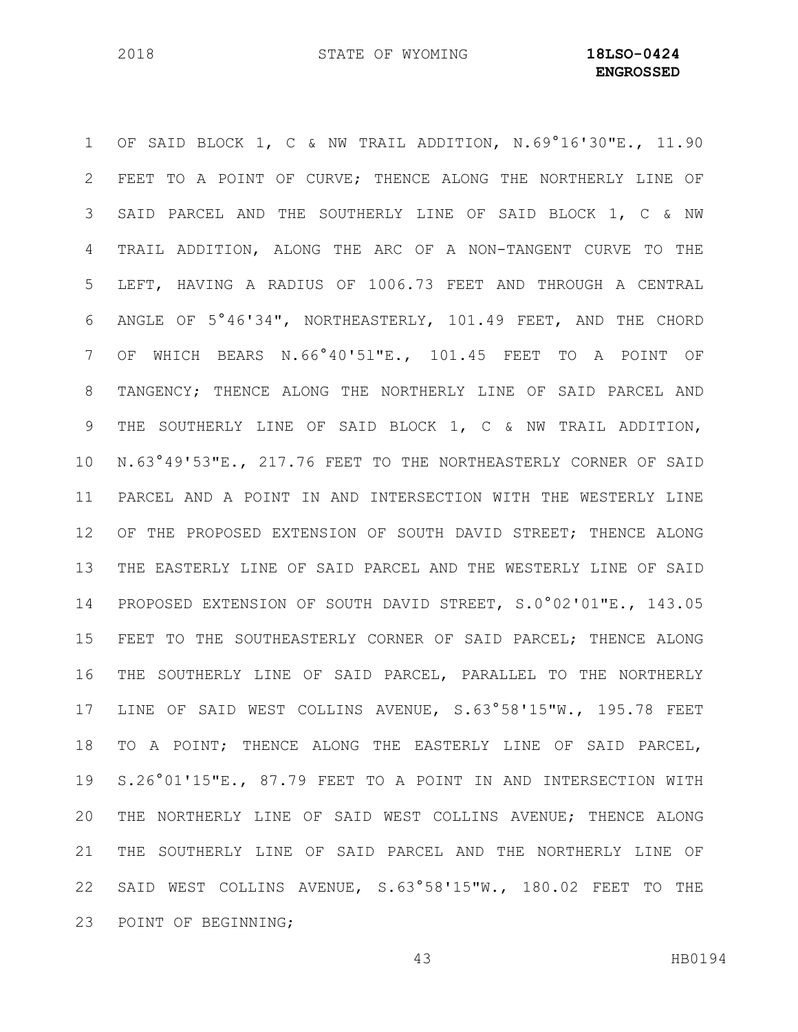OF SAID BLOCK 1, C & NW TRAIL ADDITION, N.69°16'30"E., 11.90 FEET TO A POINT OF CURVE; THENCE ALONG THE NORTHERLY LINE OF SAID PARCEL AND THE SOUTHERLY LINE OF SAID BLOCK 1, C & NW TRAIL ADDITION, ALONG THE ARC OF A NON-TANGENT CURVE TO THE LEFT, HAVING A RADIUS OF 1006.73 FEET AND THROUGH A CENTRAL ANGLE OF 5°46'34", NORTHEASTERLY, 101.49 FEET, AND THE CHORD OF WHICH BEARS N.66°40'5l"E., 101.45 FEET TO A POINT OF TANGENCY; THENCE ALONG THE NORTHERLY LINE OF SAID PARCEL AND THE SOUTHERLY LINE OF SAID BLOCK 1, C & NW TRAIL ADDITION, N.63°49'53"E., 217.76 FEET TO THE NORTHEASTERLY CORNER OF SAID PARCEL AND A POINT IN AND INTERSECTION WITH THE WESTERLY LINE OF THE PROPOSED EXTENSION OF SOUTH DAVID STREET; THENCE ALONG THE EASTERLY LINE OF SAID PARCEL AND THE WESTERLY LINE OF SAID PROPOSED EXTENSION OF SOUTH DAVID STREET, S.0°02'01"E., 143.05 FEET TO THE SOUTHEASTERLY CORNER OF SAID PARCEL; THENCE ALONG THE SOUTHERLY LINE OF SAID PARCEL, PARALLEL TO THE NORTHERLY LINE OF SAID WEST COLLINS AVENUE, S.63°58'15"W., 195.78 FEET TO A POINT; THENCE ALONG THE EASTERLY LINE OF SAID PARCEL, S.26°01'15"E., 87.79 FEET TO A POINT IN AND INTERSECTION WITH THE NORTHERLY LINE OF SAID WEST COLLINS AVENUE; THENCE ALONG THE SOUTHERLY LINE OF SAID PARCEL AND THE NORTHERLY LINE OF SAID WEST COLLINS AVENUE, S.63°58'15"W., 180.02 FEET TO THE POINT OF BEGINNING;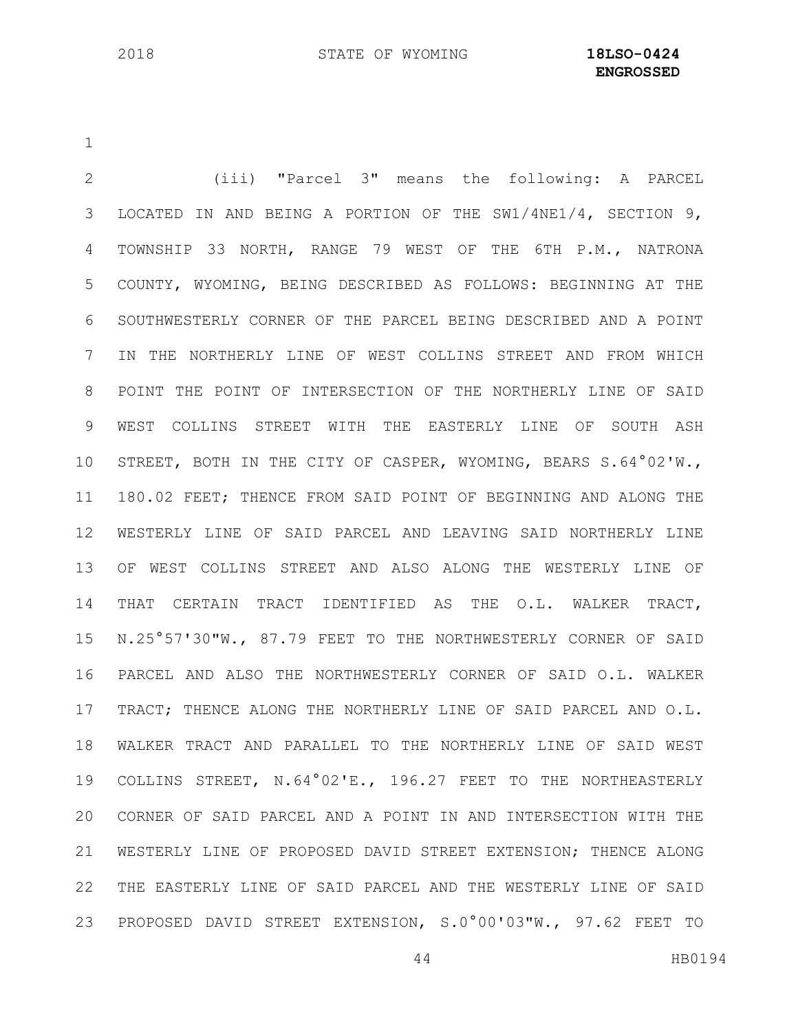**ENGROSSED**

 (iii) "Parcel 3" means the following: A PARCEL LOCATED IN AND BEING A PORTION OF THE SW1/4NE1/4, SECTION 9, TOWNSHIP 33 NORTH, RANGE 79 WEST OF THE 6TH P.M., NATRONA COUNTY, WYOMING, BEING DESCRIBED AS FOLLOWS: BEGINNING AT THE SOUTHWESTERLY CORNER OF THE PARCEL BEING DESCRIBED AND A POINT IN THE NORTHERLY LINE OF WEST COLLINS STREET AND FROM WHICH POINT THE POINT OF INTERSECTION OF THE NORTHERLY LINE OF SAID WEST COLLINS STREET WITH THE EASTERLY LINE OF SOUTH ASH STREET, BOTH IN THE CITY OF CASPER, WYOMING, BEARS S.64°02'W., 180.02 FEET; THENCE FROM SAID POINT OF BEGINNING AND ALONG THE WESTERLY LINE OF SAID PARCEL AND LEAVING SAID NORTHERLY LINE OF WEST COLLINS STREET AND ALSO ALONG THE WESTERLY LINE OF THAT CERTAIN TRACT IDENTIFIED AS THE O.L. WALKER TRACT, N.25°57'30"W., 87.79 FEET TO THE NORTHWESTERLY CORNER OF SAID PARCEL AND ALSO THE NORTHWESTERLY CORNER OF SAID O.L. WALKER TRACT; THENCE ALONG THE NORTHERLY LINE OF SAID PARCEL AND O.L. WALKER TRACT AND PARALLEL TO THE NORTHERLY LINE OF SAID WEST COLLINS STREET, N.64°02'E., 196.27 FEET TO THE NORTHEASTERLY CORNER OF SAID PARCEL AND A POINT IN AND INTERSECTION WITH THE WESTERLY LINE OF PROPOSED DAVID STREET EXTENSION; THENCE ALONG THE EASTERLY LINE OF SAID PARCEL AND THE WESTERLY LINE OF SAID PROPOSED DAVID STREET EXTENSION, S.0°00'03"W., 97.62 FEET TO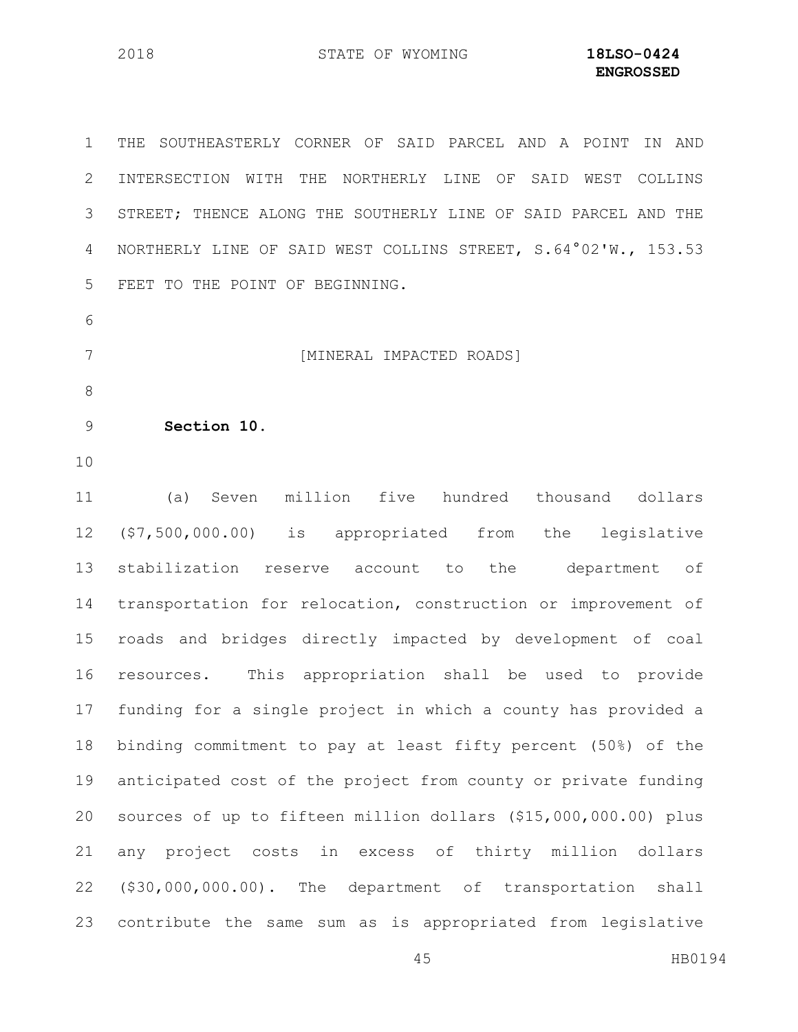THE SOUTHEASTERLY CORNER OF SAID PARCEL AND A POINT IN AND INTERSECTION WITH THE NORTHERLY LINE OF SAID WEST COLLINS STREET; THENCE ALONG THE SOUTHERLY LINE OF SAID PARCEL AND THE NORTHERLY LINE OF SAID WEST COLLINS STREET, S.64°02'W., 153.53 FEET TO THE POINT OF BEGINNING. [MINERAL IMPACTED ROADS] **Section 10.** (a) Seven million five hundred thousand dollars (\$7,500,000.00) is appropriated from the legislative stabilization reserve account to the department of transportation for relocation, construction or improvement of roads and bridges directly impacted by development of coal resources. This appropriation shall be used to provide funding for a single project in which a county has provided a binding commitment to pay at least fifty percent (50%) of the anticipated cost of the project from county or private funding sources of up to fifteen million dollars (\$15,000,000.00) plus any project costs in excess of thirty million dollars (\$30,000,000.00). The department of transportation shall contribute the same sum as is appropriated from legislative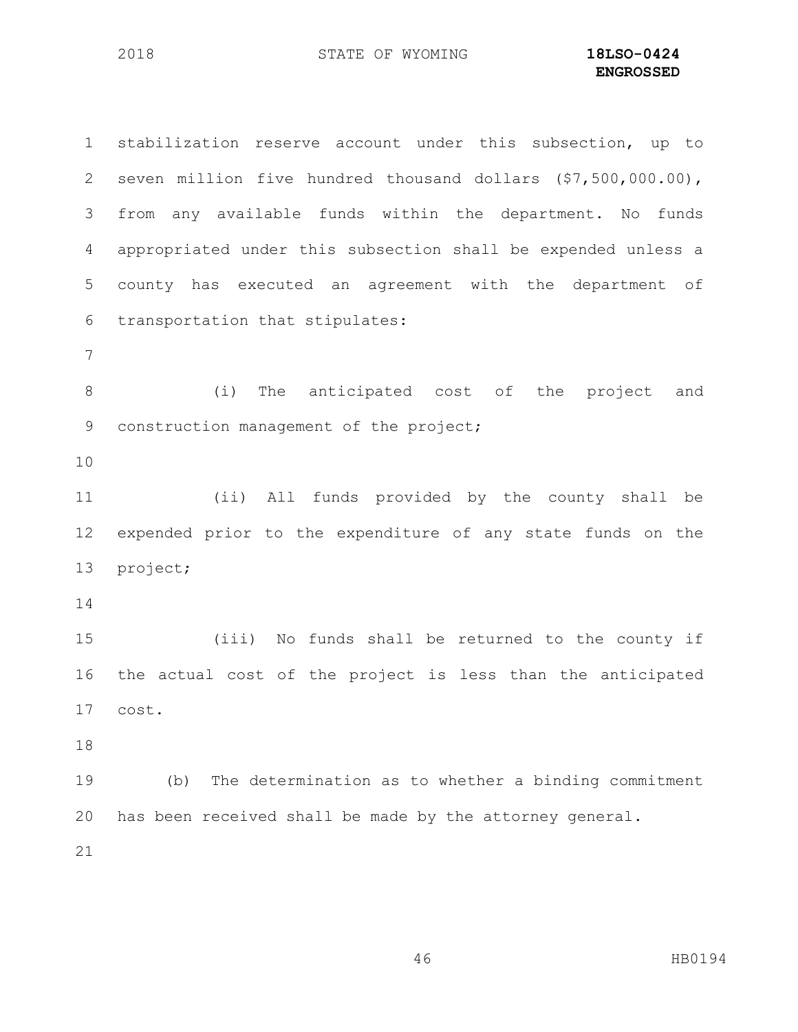stabilization reserve account under this subsection, up to seven million five hundred thousand dollars (\$7,500,000.00), from any available funds within the department. No funds appropriated under this subsection shall be expended unless a county has executed an agreement with the department of transportation that stipulates: (i) The anticipated cost of the project and 9 construction management of the project; (ii) All funds provided by the county shall be expended prior to the expenditure of any state funds on the project; (iii) No funds shall be returned to the county if the actual cost of the project is less than the anticipated cost. (b) The determination as to whether a binding commitment has been received shall be made by the attorney general.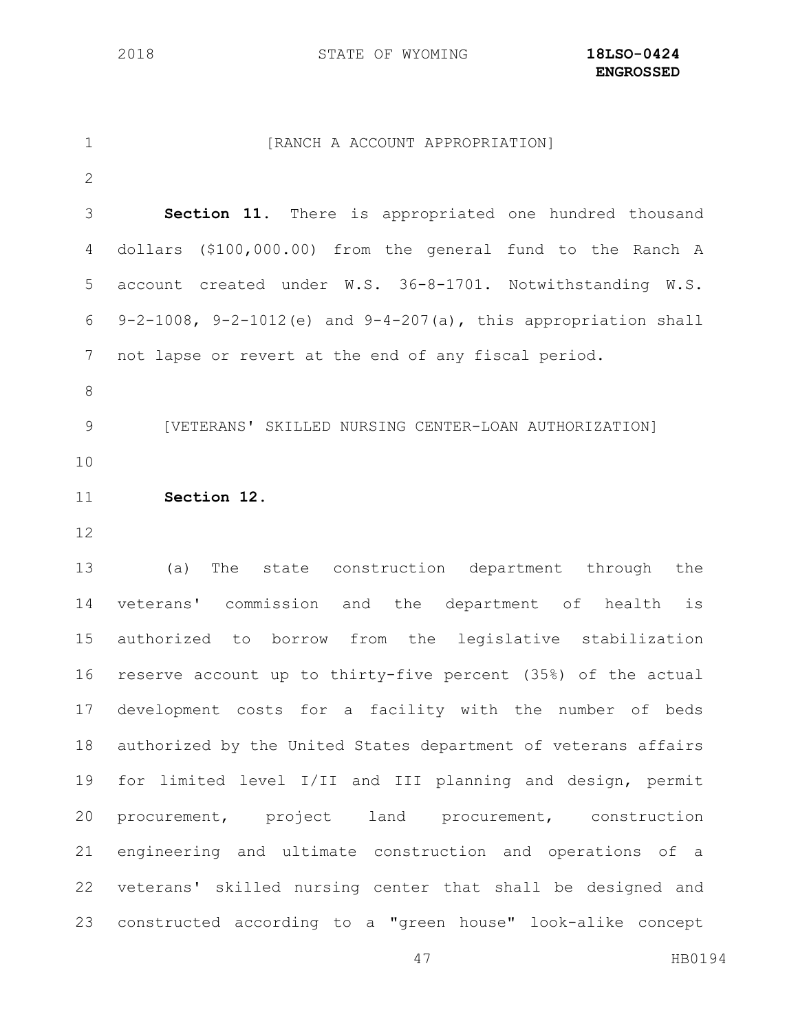1 [RANCH A ACCOUNT APPROPRIATION] **Section 11.** There is appropriated one hundred thousand dollars (\$100,000.00) from the general fund to the Ranch A account created under W.S. 36-8-1701. Notwithstanding W.S. 6 9-2-1008, 9-2-1012(e) and  $9-4-207(a)$ , this appropriation shall not lapse or revert at the end of any fiscal period. [VETERANS' SKILLED NURSING CENTER-LOAN AUTHORIZATION] **Section 12.**  (a) The state construction department through the veterans' commission and the department of health is authorized to borrow from the legislative stabilization reserve account up to thirty-five percent (35%) of the actual development costs for a facility with the number of beds authorized by the United States department of veterans affairs for limited level I/II and III planning and design, permit procurement, project land procurement, construction engineering and ultimate construction and operations of a veterans' skilled nursing center that shall be designed and

constructed according to a "green house" look-alike concept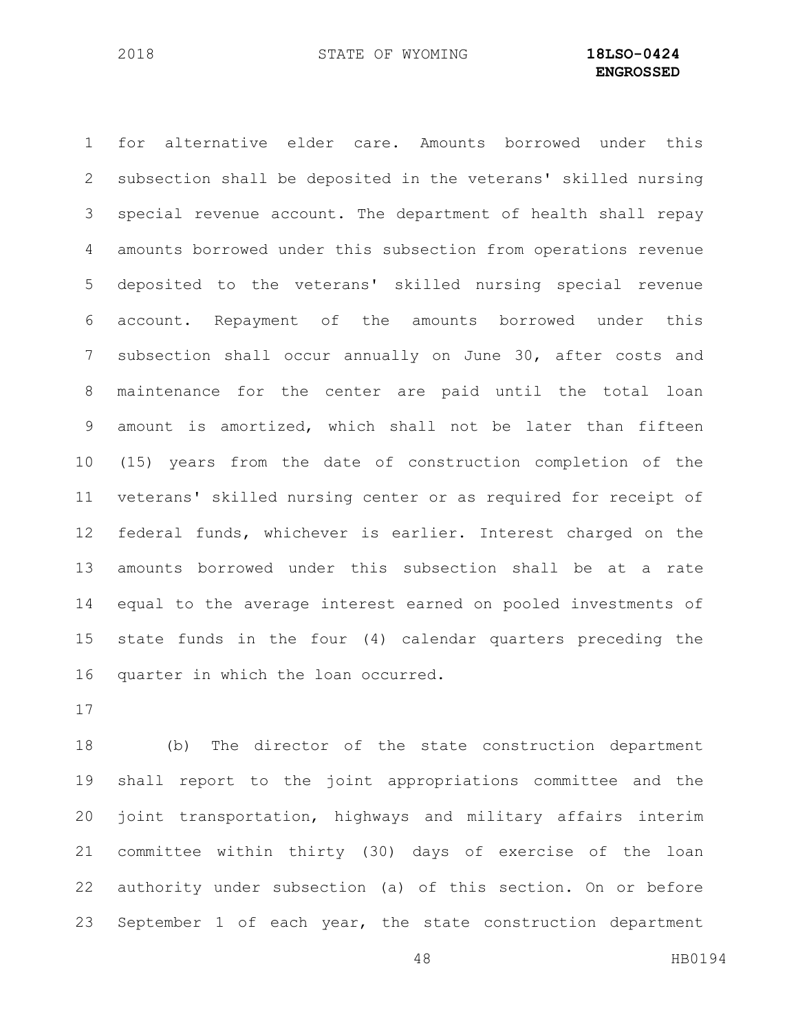for alternative elder care. Amounts borrowed under this subsection shall be deposited in the veterans' skilled nursing special revenue account. The department of health shall repay amounts borrowed under this subsection from operations revenue deposited to the veterans' skilled nursing special revenue account. Repayment of the amounts borrowed under this subsection shall occur annually on June 30, after costs and maintenance for the center are paid until the total loan amount is amortized, which shall not be later than fifteen (15) years from the date of construction completion of the veterans' skilled nursing center or as required for receipt of federal funds, whichever is earlier. Interest charged on the amounts borrowed under this subsection shall be at a rate equal to the average interest earned on pooled investments of state funds in the four (4) calendar quarters preceding the quarter in which the loan occurred.

 (b) The director of the state construction department shall report to the joint appropriations committee and the joint transportation, highways and military affairs interim committee within thirty (30) days of exercise of the loan authority under subsection (a) of this section. On or before September 1 of each year, the state construction department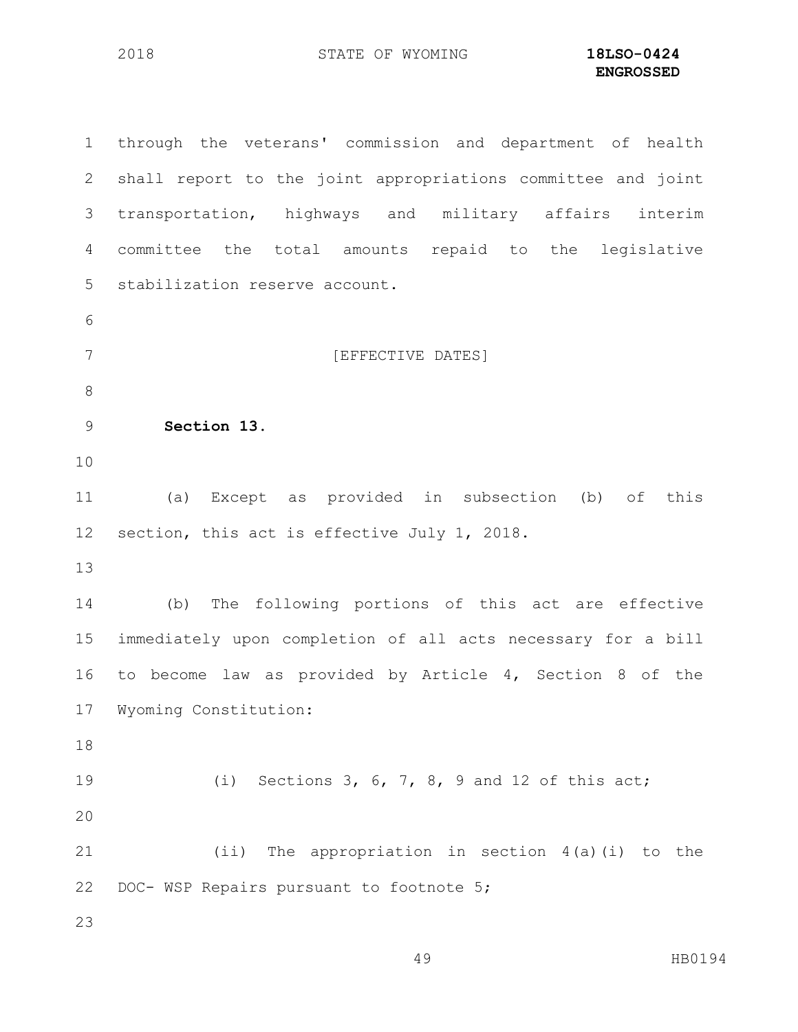through the veterans' commission and department of health shall report to the joint appropriations committee and joint transportation, highways and military affairs interim committee the total amounts repaid to the legislative stabilization reserve account. 7 [EFFECTIVE DATES] **Section 13.** (a) Except as provided in subsection (b) of this section, this act is effective July 1, 2018. (b) The following portions of this act are effective immediately upon completion of all acts necessary for a bill to become law as provided by Article 4, Section 8 of the Wyoming Constitution: (i) Sections 3, 6, 7, 8, 9 and 12 of this act; (ii) The appropriation in section 4(a)(i) to the 22 DOC- WSP Repairs pursuant to footnote 5;